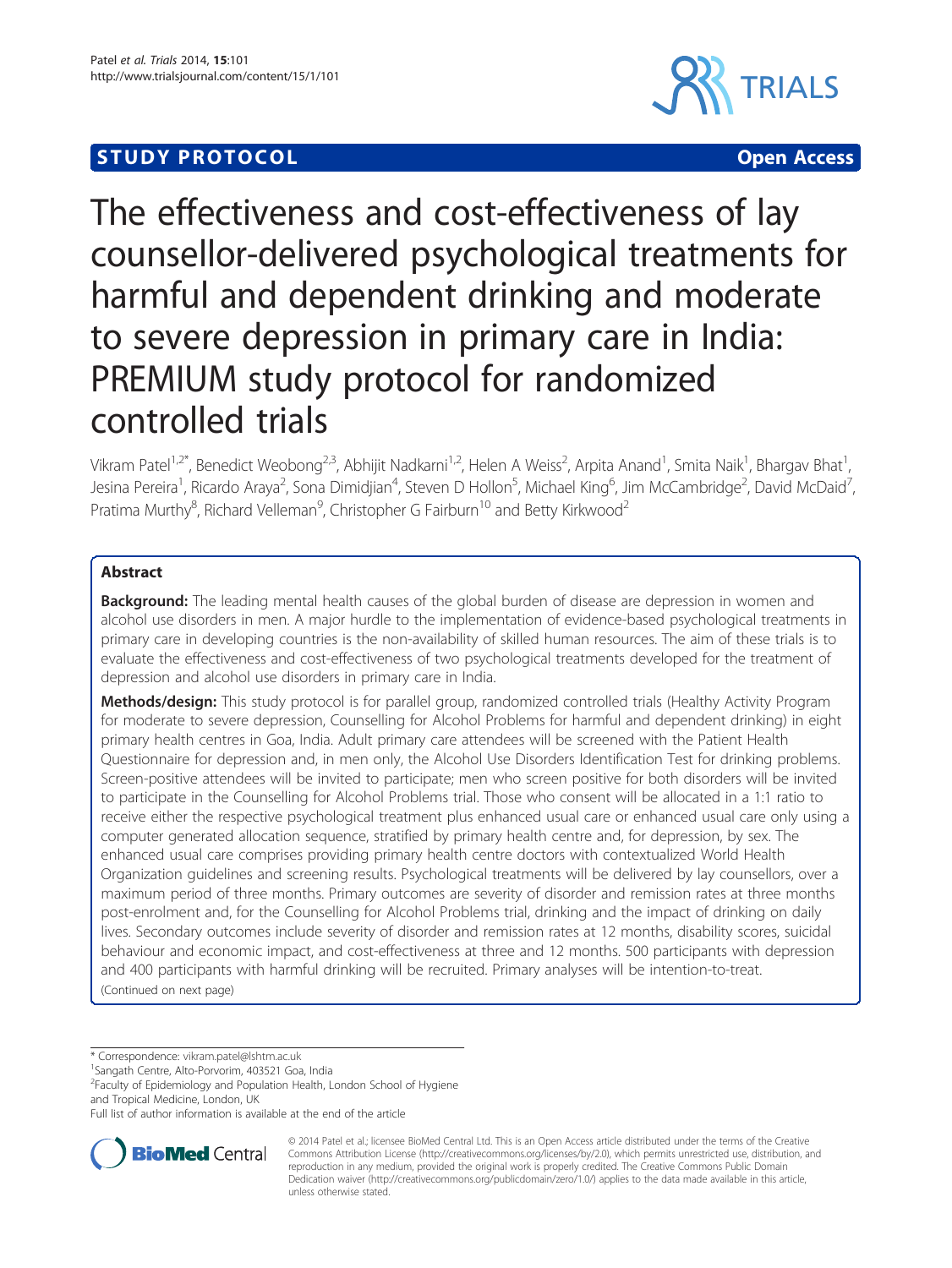## **STUDY PROTOCOL** CONTROL CONTROL CONTROL CONTROL CONTROL CONTROL CONTROL CONTROL CONTROL CONTROL CONTROL CONTROL CONTROL CONTROL CONTROL CONTROL CONTROL CONTROL CONTROL CONTROL CONTROL CONTROL CONTROL CONTROL CONTROL CONTR



# The effectiveness and cost-effectiveness of lay counsellor-delivered psychological treatments for harmful and dependent drinking and moderate to severe depression in primary care in India: PREMIUM study protocol for randomized controlled trials

Vikram Patel<sup>1,2\*</sup>, Benedict Weobong<sup>2,3</sup>, Abhijit Nadkarni<sup>1,2</sup>, Helen A Weiss<sup>2</sup>, Arpita Anand<sup>1</sup>, Smita Naik<sup>1</sup>, Bhargav Bhat<sup>1</sup> , Jesina Pereira<sup>1</sup>, Ricardo Araya<sup>2</sup>, Sona Dimidjian<sup>4</sup>, Steven D Hollon<sup>5</sup>, Michael King<sup>6</sup>, Jim McCambridge<sup>2</sup>, David McDaid<sup>7</sup> , Pratima Murthy<sup>8</sup>, Richard Velleman<sup>9</sup>, Christopher G Fairburn<sup>10</sup> and Betty Kirkwood<sup>2</sup>

## Abstract

**Background:** The leading mental health causes of the global burden of disease are depression in women and alcohol use disorders in men. A major hurdle to the implementation of evidence-based psychological treatments in primary care in developing countries is the non-availability of skilled human resources. The aim of these trials is to evaluate the effectiveness and cost-effectiveness of two psychological treatments developed for the treatment of depression and alcohol use disorders in primary care in India.

Methods/design: This study protocol is for parallel group, randomized controlled trials (Healthy Activity Program for moderate to severe depression, Counselling for Alcohol Problems for harmful and dependent drinking) in eight primary health centres in Goa, India. Adult primary care attendees will be screened with the Patient Health Questionnaire for depression and, in men only, the Alcohol Use Disorders Identification Test for drinking problems. Screen-positive attendees will be invited to participate; men who screen positive for both disorders will be invited to participate in the Counselling for Alcohol Problems trial. Those who consent will be allocated in a 1:1 ratio to receive either the respective psychological treatment plus enhanced usual care or enhanced usual care only using a computer generated allocation sequence, stratified by primary health centre and, for depression, by sex. The enhanced usual care comprises providing primary health centre doctors with contextualized World Health Organization guidelines and screening results. Psychological treatments will be delivered by lay counsellors, over a maximum period of three months. Primary outcomes are severity of disorder and remission rates at three months post-enrolment and, for the Counselling for Alcohol Problems trial, drinking and the impact of drinking on daily lives. Secondary outcomes include severity of disorder and remission rates at 12 months, disability scores, suicidal behaviour and economic impact, and cost-effectiveness at three and 12 months. 500 participants with depression and 400 participants with harmful drinking will be recruited. Primary analyses will be intention-to-treat. (Continued on next page)

\* Correspondence: [vikram.patel@lshtm.ac.uk](mailto:vikram.patel@lshtm.ac.uk) <sup>1</sup>

<sup>1</sup>Sangath Centre, Alto-Porvorim, 403521 Goa, India

<sup>2</sup>Faculty of Epidemiology and Population Health, London School of Hygiene and Tropical Medicine, London, UK

Full list of author information is available at the end of the article



© 2014 Patel et al.; licensee BioMed Central Ltd. This is an Open Access article distributed under the terms of the Creative Commons Attribution License [\(http://creativecommons.org/licenses/by/2.0\)](http://creativecommons.org/licenses/by/2.0), which permits unrestricted use, distribution, and reproduction in any medium, provided the original work is properly credited. The Creative Commons Public Domain Dedication waiver [\(http://creativecommons.org/publicdomain/zero/1.0/](http://creativecommons.org/publicdomain/zero/1.0/)) applies to the data made available in this article, unless otherwise stated.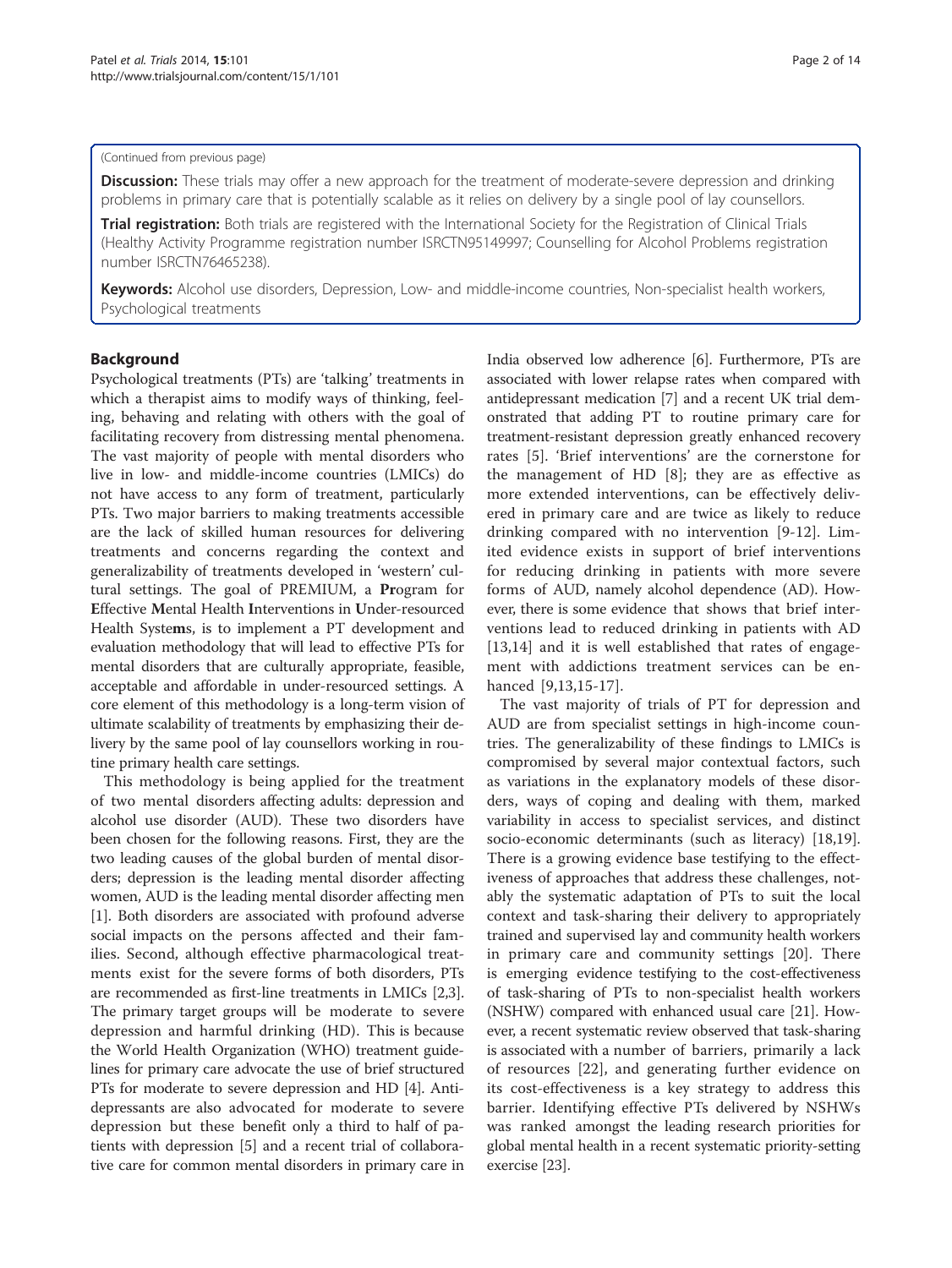## (Continued from previous page)

Discussion: These trials may offer a new approach for the treatment of moderate-severe depression and drinking problems in primary care that is potentially scalable as it relies on delivery by a single pool of lay counsellors.

Trial registration: Both trials are registered with the International Society for the Registration of Clinical Trials (Healthy Activity Programme registration number [ISRCTN95149997;](http://www.controlled-trials.com/ISRCTN95149997) Counselling for Alcohol Problems registration number [ISRCTN76465238\)](http://www.controlled-trials.com/ISRCTN76465238).

Keywords: Alcohol use disorders, Depression, Low- and middle-income countries, Non-specialist health workers, Psychological treatments

## **Background**

Psychological treatments (PTs) are 'talking' treatments in which a therapist aims to modify ways of thinking, feeling, behaving and relating with others with the goal of facilitating recovery from distressing mental phenomena. The vast majority of people with mental disorders who live in low- and middle-income countries (LMICs) do not have access to any form of treatment, particularly PTs. Two major barriers to making treatments accessible are the lack of skilled human resources for delivering treatments and concerns regarding the context and generalizability of treatments developed in 'western' cultural settings. The goal of PREMIUM, a Program for Effective Mental Health Interventions in Under-resourced Health Systems, is to implement a PT development and evaluation methodology that will lead to effective PTs for mental disorders that are culturally appropriate, feasible, acceptable and affordable in under-resourced settings. A core element of this methodology is a long-term vision of ultimate scalability of treatments by emphasizing their delivery by the same pool of lay counsellors working in routine primary health care settings.

This methodology is being applied for the treatment of two mental disorders affecting adults: depression and alcohol use disorder (AUD). These two disorders have been chosen for the following reasons. First, they are the two leading causes of the global burden of mental disorders; depression is the leading mental disorder affecting women, AUD is the leading mental disorder affecting men [[1\]](#page-11-0). Both disorders are associated with profound adverse social impacts on the persons affected and their families. Second, although effective pharmacological treatments exist for the severe forms of both disorders, PTs are recommended as first-line treatments in LMICs [[2](#page-11-0),[3](#page-11-0)]. The primary target groups will be moderate to severe depression and harmful drinking (HD). This is because the World Health Organization (WHO) treatment guidelines for primary care advocate the use of brief structured PTs for moderate to severe depression and HD [[4\]](#page-11-0). Antidepressants are also advocated for moderate to severe depression but these benefit only a third to half of patients with depression [[5\]](#page-11-0) and a recent trial of collaborative care for common mental disorders in primary care in

India observed low adherence [[6\]](#page-11-0). Furthermore, PTs are associated with lower relapse rates when compared with antidepressant medication [[7](#page-11-0)] and a recent UK trial demonstrated that adding PT to routine primary care for treatment-resistant depression greatly enhanced recovery rates [[5\]](#page-11-0). 'Brief interventions' are the cornerstone for the management of HD [\[8](#page-12-0)]; they are as effective as more extended interventions, can be effectively delivered in primary care and are twice as likely to reduce drinking compared with no intervention [\[9](#page-12-0)-[12\]](#page-12-0). Limited evidence exists in support of brief interventions for reducing drinking in patients with more severe forms of AUD, namely alcohol dependence (AD). However, there is some evidence that shows that brief interventions lead to reduced drinking in patients with AD [[13,14](#page-12-0)] and it is well established that rates of engagement with addictions treatment services can be enhanced [[9,13,15](#page-12-0)-[17\]](#page-12-0).

The vast majority of trials of PT for depression and AUD are from specialist settings in high-income countries. The generalizability of these findings to LMICs is compromised by several major contextual factors, such as variations in the explanatory models of these disorders, ways of coping and dealing with them, marked variability in access to specialist services, and distinct socio-economic determinants (such as literacy) [\[18,19](#page-12-0)]. There is a growing evidence base testifying to the effectiveness of approaches that address these challenges, notably the systematic adaptation of PTs to suit the local context and task-sharing their delivery to appropriately trained and supervised lay and community health workers in primary care and community settings [[20](#page-12-0)]. There is emerging evidence testifying to the cost-effectiveness of task-sharing of PTs to non-specialist health workers (NSHW) compared with enhanced usual care [\[21](#page-12-0)]. However, a recent systematic review observed that task-sharing is associated with a number of barriers, primarily a lack of resources [[22\]](#page-12-0), and generating further evidence on its cost-effectiveness is a key strategy to address this barrier. Identifying effective PTs delivered by NSHWs was ranked amongst the leading research priorities for global mental health in a recent systematic priority-setting exercise [\[23\]](#page-12-0).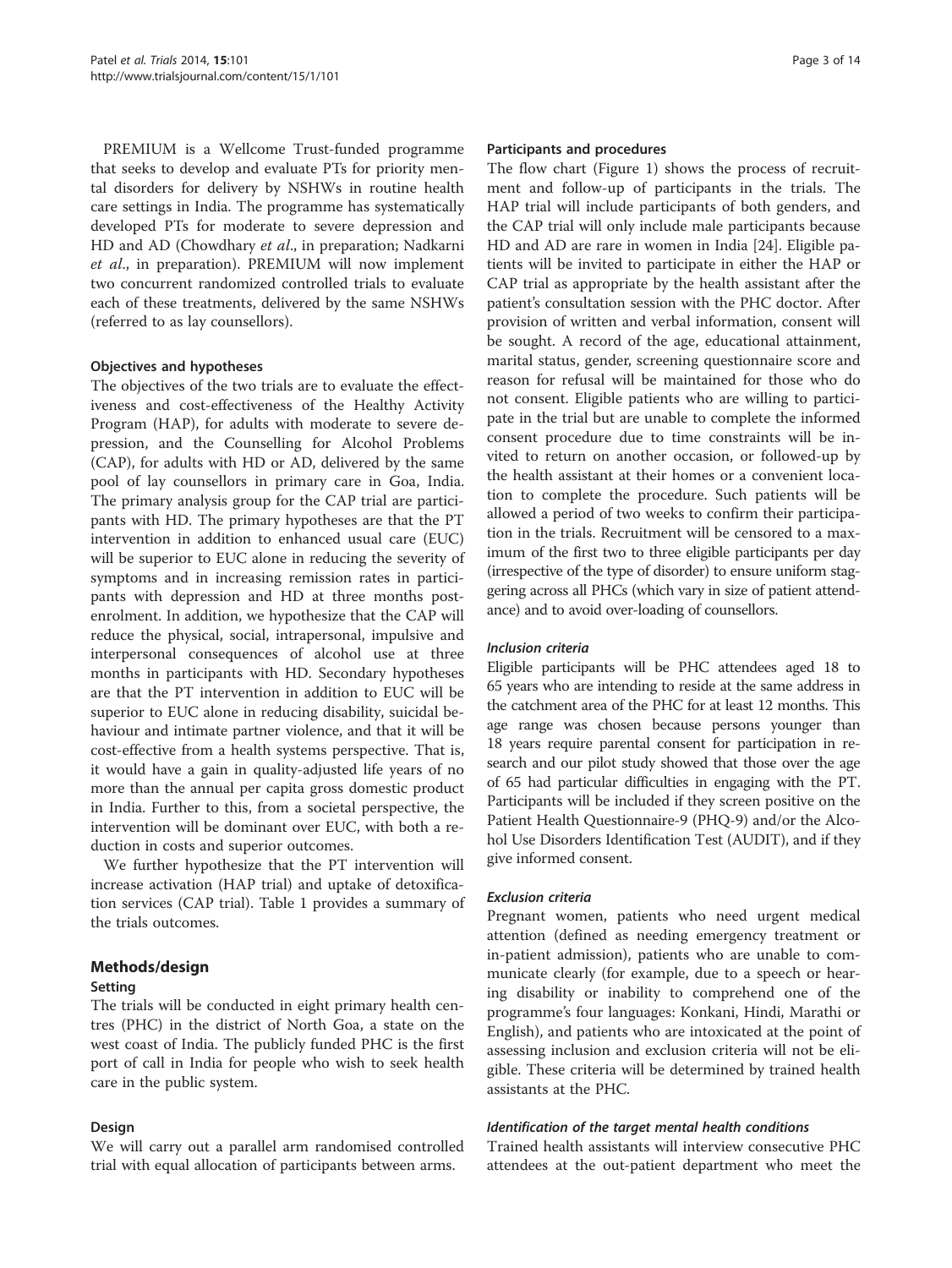PREMIUM is a Wellcome Trust-funded programme that seeks to develop and evaluate PTs for priority mental disorders for delivery by NSHWs in routine health care settings in India. The programme has systematically developed PTs for moderate to severe depression and HD and AD (Chowdhary et al., in preparation; Nadkarni et al., in preparation). PREMIUM will now implement two concurrent randomized controlled trials to evaluate each of these treatments, delivered by the same NSHWs (referred to as lay counsellors).

## Objectives and hypotheses

The objectives of the two trials are to evaluate the effectiveness and cost-effectiveness of the Healthy Activity Program (HAP), for adults with moderate to severe depression, and the Counselling for Alcohol Problems (CAP), for adults with HD or AD, delivered by the same pool of lay counsellors in primary care in Goa, India. The primary analysis group for the CAP trial are participants with HD. The primary hypotheses are that the PT intervention in addition to enhanced usual care (EUC) will be superior to EUC alone in reducing the severity of symptoms and in increasing remission rates in participants with depression and HD at three months postenrolment. In addition, we hypothesize that the CAP will reduce the physical, social, intrapersonal, impulsive and interpersonal consequences of alcohol use at three months in participants with HD. Secondary hypotheses are that the PT intervention in addition to EUC will be superior to EUC alone in reducing disability, suicidal behaviour and intimate partner violence, and that it will be cost-effective from a health systems perspective. That is, it would have a gain in quality-adjusted life years of no more than the annual per capita gross domestic product in India. Further to this, from a societal perspective, the intervention will be dominant over EUC, with both a reduction in costs and superior outcomes.

We further hypothesize that the PT intervention will increase activation (HAP trial) and uptake of detoxification services (CAP trial). Table [1](#page-3-0) provides a summary of the trials outcomes.

## Methods/design

## Setting

The trials will be conducted in eight primary health centres (PHC) in the district of North Goa, a state on the west coast of India. The publicly funded PHC is the first port of call in India for people who wish to seek health care in the public system.

## Design

We will carry out a parallel arm randomised controlled trial with equal allocation of participants between arms.

## Participants and procedures

The flow chart (Figure [1\)](#page-3-0) shows the process of recruitment and follow-up of participants in the trials. The HAP trial will include participants of both genders, and the CAP trial will only include male participants because HD and AD are rare in women in India [\[24](#page-12-0)]. Eligible patients will be invited to participate in either the HAP or CAP trial as appropriate by the health assistant after the patient's consultation session with the PHC doctor. After provision of written and verbal information, consent will be sought. A record of the age, educational attainment, marital status, gender, screening questionnaire score and reason for refusal will be maintained for those who do not consent. Eligible patients who are willing to participate in the trial but are unable to complete the informed consent procedure due to time constraints will be invited to return on another occasion, or followed-up by the health assistant at their homes or a convenient location to complete the procedure. Such patients will be allowed a period of two weeks to confirm their participation in the trials. Recruitment will be censored to a maximum of the first two to three eligible participants per day (irrespective of the type of disorder) to ensure uniform staggering across all PHCs (which vary in size of patient attendance) and to avoid over-loading of counsellors.

## Inclusion criteria

Eligible participants will be PHC attendees aged 18 to 65 years who are intending to reside at the same address in the catchment area of the PHC for at least 12 months. This age range was chosen because persons younger than 18 years require parental consent for participation in research and our pilot study showed that those over the age of 65 had particular difficulties in engaging with the PT. Participants will be included if they screen positive on the Patient Health Questionnaire-9 (PHQ-9) and/or the Alcohol Use Disorders Identification Test (AUDIT), and if they give informed consent.

## Exclusion criteria

Pregnant women, patients who need urgent medical attention (defined as needing emergency treatment or in-patient admission), patients who are unable to communicate clearly (for example, due to a speech or hearing disability or inability to comprehend one of the programme's four languages: Konkani, Hindi, Marathi or English), and patients who are intoxicated at the point of assessing inclusion and exclusion criteria will not be eligible. These criteria will be determined by trained health assistants at the PHC.

## Identification of the target mental health conditions

Trained health assistants will interview consecutive PHC attendees at the out-patient department who meet the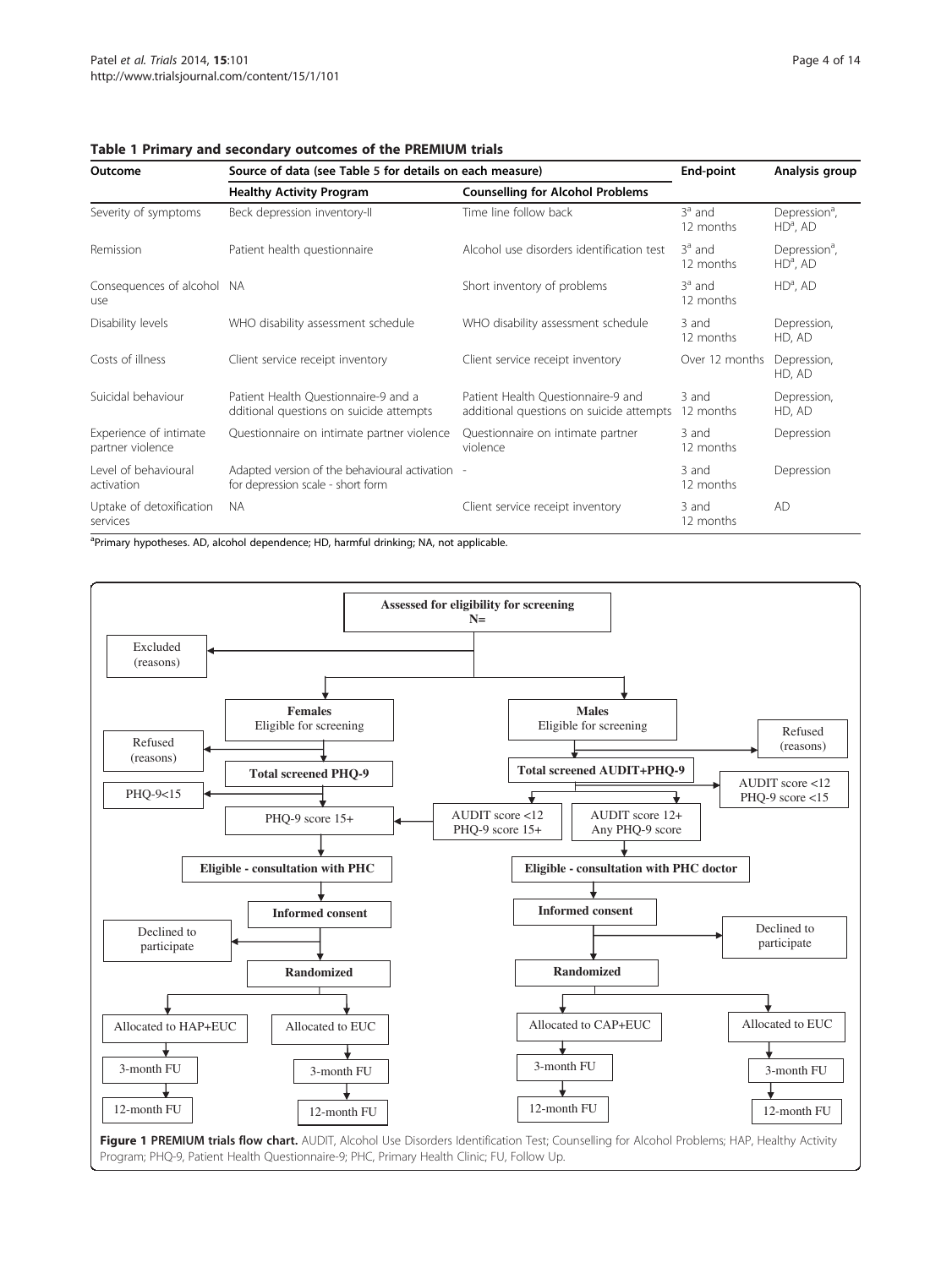| Outcome                                    | Source of data (see Table 5 for details on each measure)                             | End-point                                                                      | Analysis group        |                                         |  |
|--------------------------------------------|--------------------------------------------------------------------------------------|--------------------------------------------------------------------------------|-----------------------|-----------------------------------------|--|
|                                            | <b>Counselling for Alcohol Problems</b><br><b>Healthy Activity Program</b>           |                                                                                |                       |                                         |  |
| Severity of symptoms                       | Beck depression inventory-II                                                         | Time line follow back                                                          | $3a$ and<br>12 months | Depression <sup>a</sup> ,<br>$HDa$ , AD |  |
| Remission                                  | Patient health questionnaire                                                         | Alcohol use disorders identification test                                      | $3a$ and<br>12 months | Depression <sup>a</sup> ,<br>$HDa$ , AD |  |
| Consequences of alcohol NA<br>use          |                                                                                      | Short inventory of problems                                                    | $3a$ and<br>12 months | $HDa$ , AD                              |  |
| Disability levels                          | WHO disability assessment schedule                                                   | WHO disability assessment schedule                                             | 3 and<br>12 months    | Depression,<br>HD, AD                   |  |
| Costs of illness                           | Client service receipt inventory                                                     | Client service receipt inventory                                               | Over 12 months        | Depression,<br>HD, AD                   |  |
| Suicidal behaviour                         | Patient Health Ouestionnaire-9 and a<br>dditional questions on suicide attempts      | Patient Health Ouestionnaire-9 and<br>additional questions on suicide attempts | 3 and<br>12 months    | Depression,<br>HD, AD                   |  |
| Experience of intimate<br>partner violence | Questionnaire on intimate partner violence                                           | Questionnaire on intimate partner<br>violence                                  | 3 and<br>12 months    | Depression                              |  |
| Level of behavioural<br>activation         | Adapted version of the behavioural activation -<br>for depression scale - short form |                                                                                | 3 and<br>12 months    | Depression                              |  |
| Uptake of detoxification<br>services       | <b>NA</b>                                                                            | Client service receipt inventory                                               | 3 and<br>12 months    | <b>AD</b>                               |  |

## <span id="page-3-0"></span>Table 1 Primary and secondary outcomes of the PREMIUM trials

<sup>a</sup>Primary hypotheses. AD, alcohol dependence; HD, harmful drinking; NA, not applicable.

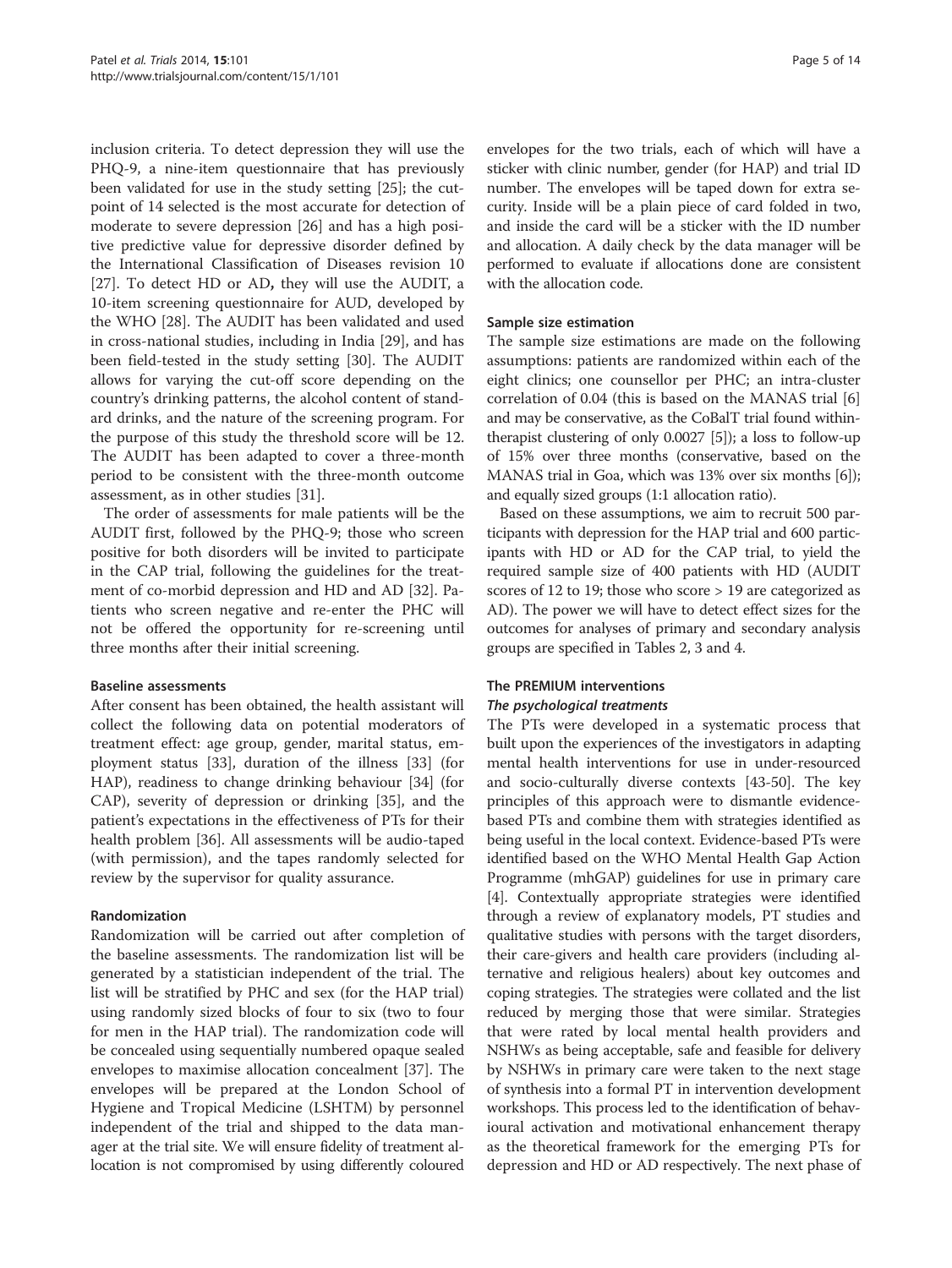inclusion criteria. To detect depression they will use the PHQ-9, a nine-item questionnaire that has previously been validated for use in the study setting [\[25\]](#page-12-0); the cutpoint of 14 selected is the most accurate for detection of moderate to severe depression [\[26](#page-12-0)] and has a high positive predictive value for depressive disorder defined by the International Classification of Diseases revision 10 [[27\]](#page-12-0). To detect HD or AD, they will use the AUDIT, a 10-item screening questionnaire for AUD, developed by the WHO [\[28\]](#page-12-0). The AUDIT has been validated and used in cross-national studies, including in India [[29\]](#page-12-0), and has been field-tested in the study setting [[30\]](#page-12-0). The AUDIT allows for varying the cut-off score depending on the country's drinking patterns, the alcohol content of standard drinks, and the nature of the screening program. For the purpose of this study the threshold score will be 12. The AUDIT has been adapted to cover a three-month period to be consistent with the three-month outcome assessment, as in other studies [\[31\]](#page-12-0).

The order of assessments for male patients will be the AUDIT first, followed by the PHQ-9; those who screen positive for both disorders will be invited to participate in the CAP trial, following the guidelines for the treatment of co-morbid depression and HD and AD [[32\]](#page-12-0). Patients who screen negative and re-enter the PHC will not be offered the opportunity for re-screening until three months after their initial screening.

## Baseline assessments

After consent has been obtained, the health assistant will collect the following data on potential moderators of treatment effect: age group, gender, marital status, employment status [\[33](#page-12-0)], duration of the illness [\[33](#page-12-0)] (for HAP), readiness to change drinking behaviour [[34\]](#page-12-0) (for CAP), severity of depression or drinking [\[35](#page-12-0)], and the patient's expectations in the effectiveness of PTs for their health problem [[36](#page-12-0)]. All assessments will be audio-taped (with permission), and the tapes randomly selected for review by the supervisor for quality assurance.

## Randomization

Randomization will be carried out after completion of the baseline assessments. The randomization list will be generated by a statistician independent of the trial. The list will be stratified by PHC and sex (for the HAP trial) using randomly sized blocks of four to six (two to four for men in the HAP trial). The randomization code will be concealed using sequentially numbered opaque sealed envelopes to maximise allocation concealment [[37\]](#page-12-0). The envelopes will be prepared at the London School of Hygiene and Tropical Medicine (LSHTM) by personnel independent of the trial and shipped to the data manager at the trial site. We will ensure fidelity of treatment allocation is not compromised by using differently coloured

envelopes for the two trials, each of which will have a sticker with clinic number, gender (for HAP) and trial ID number. The envelopes will be taped down for extra security. Inside will be a plain piece of card folded in two, and inside the card will be a sticker with the ID number and allocation. A daily check by the data manager will be performed to evaluate if allocations done are consistent with the allocation code.

## Sample size estimation

The sample size estimations are made on the following assumptions: patients are randomized within each of the eight clinics; one counsellor per PHC; an intra-cluster correlation of 0.04 (this is based on the MANAS trial [\[6](#page-11-0)] and may be conservative, as the CoBalT trial found withintherapist clustering of only 0.0027 [[5](#page-11-0)]); a loss to follow-up of 15% over three months (conservative, based on the MANAS trial in Goa, which was 13% over six months [[6](#page-11-0)]); and equally sized groups (1:1 allocation ratio).

Based on these assumptions, we aim to recruit 500 participants with depression for the HAP trial and 600 participants with HD or AD for the CAP trial, to yield the required sample size of 400 patients with HD (AUDIT scores of 12 to 19; those who score > 19 are categorized as AD). The power we will have to detect effect sizes for the outcomes for analyses of primary and secondary analysis groups are specified in Tables [2](#page-5-0), [3](#page-5-0) and [4](#page-6-0).

## The PREMIUM interventions

## The psychological treatments

The PTs were developed in a systematic process that built upon the experiences of the investigators in adapting mental health interventions for use in under-resourced and socio-culturally diverse contexts [\[43](#page-12-0)-[50](#page-12-0)]. The key principles of this approach were to dismantle evidencebased PTs and combine them with strategies identified as being useful in the local context. Evidence-based PTs were identified based on the WHO Mental Health Gap Action Programme (mhGAP) guidelines for use in primary care [[4\]](#page-11-0). Contextually appropriate strategies were identified through a review of explanatory models, PT studies and qualitative studies with persons with the target disorders, their care-givers and health care providers (including alternative and religious healers) about key outcomes and coping strategies. The strategies were collated and the list reduced by merging those that were similar. Strategies that were rated by local mental health providers and NSHWs as being acceptable, safe and feasible for delivery by NSHWs in primary care were taken to the next stage of synthesis into a formal PT in intervention development workshops. This process led to the identification of behavioural activation and motivational enhancement therapy as the theoretical framework for the emerging PTs for depression and HD or AD respectively. The next phase of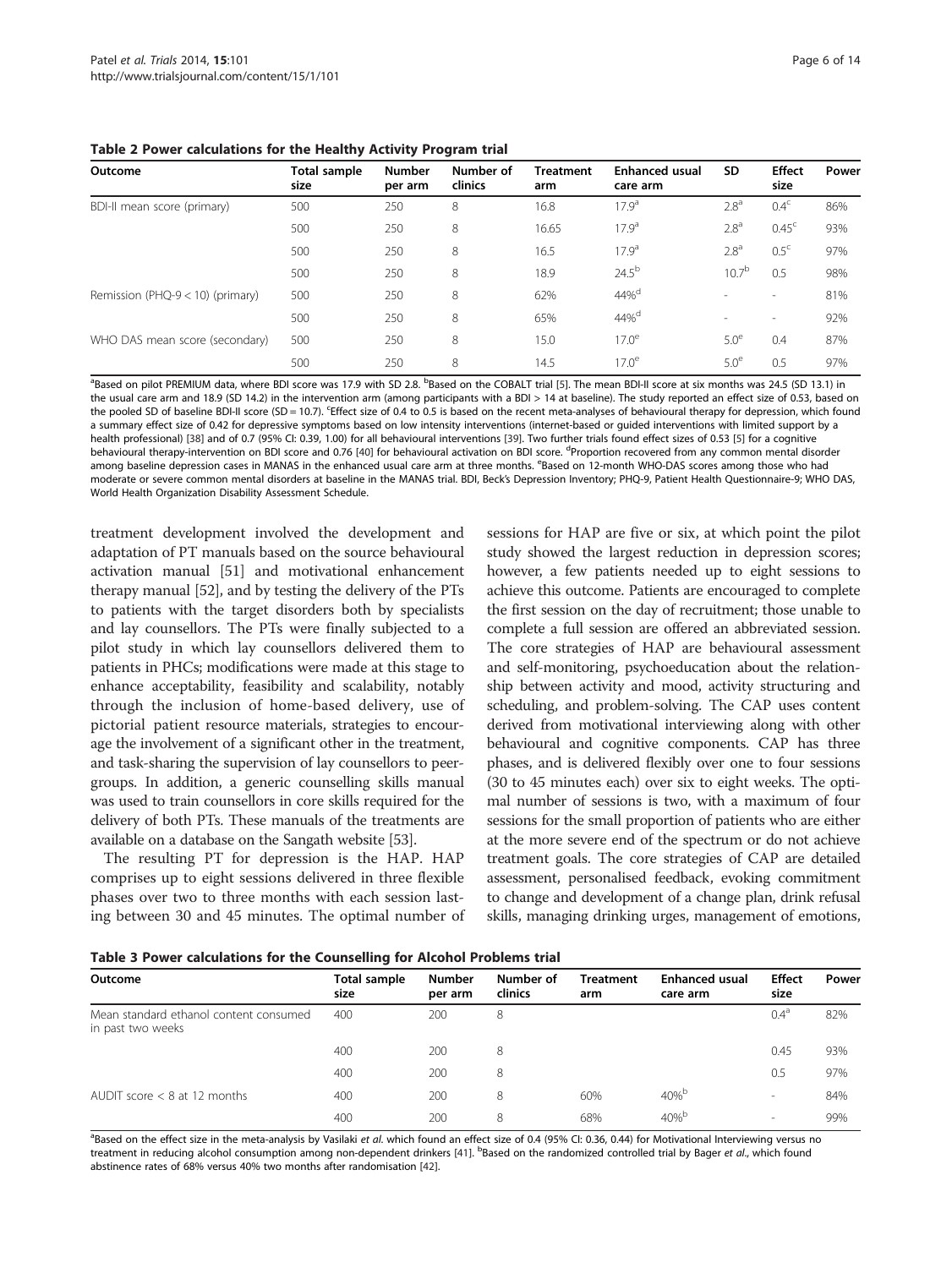<span id="page-5-0"></span>Table 2 Power calculations for the Healthy Activity Program trial

| Outcome                          | Total sample<br>size | <b>Number</b><br>per arm | Number of<br>clinics | <b>Treatment</b><br>arm | <b>Enhanced usual</b><br>care arm | <b>SD</b>         | <b>Effect</b><br>size | Power |
|----------------------------------|----------------------|--------------------------|----------------------|-------------------------|-----------------------------------|-------------------|-----------------------|-------|
| BDI-II mean score (primary)      | 500                  | 250                      | 8                    | 16.8                    | 17.9 <sup>a</sup>                 | 2.8 <sup>a</sup>  | 0.4 <sup>c</sup>      | 86%   |
|                                  | 500                  | 250                      | 8                    | 16.65                   | 17.9 <sup>a</sup>                 | 2.8 <sup>a</sup>  | $0.45^{\circ}$        | 93%   |
|                                  | 500                  | 250                      | 8                    | 16.5                    | 17.9 <sup>a</sup>                 | 2.8 <sup>a</sup>  | $0.5^{\circ}$         | 97%   |
|                                  | 500                  | 250                      | 8                    | 18.9                    | $24.5^{b}$                        | 10.7 <sup>b</sup> | 0.5                   | 98%   |
| Remission (PHQ-9 < 10) (primary) | 500                  | 250                      | 8                    | 62%                     | $44\%$ <sup>d</sup>               |                   | $\sim$                | 81%   |
|                                  | 500                  | 250                      | 8                    | 65%                     | $44\%$ <sup>d</sup>               | $\sim$            | $\sim$                | 92%   |
| WHO DAS mean score (secondary)   | 500                  | 250                      | 8                    | 15.0                    | 17.0 <sup>e</sup>                 | $5.0^\circ$       | 0.4                   | 87%   |
|                                  | 500                  | 250                      | 8                    | 14.5                    | 17.0 <sup>e</sup>                 | $5.0^\circ$       | 0.5                   | 97%   |

<sup>a</sup>Based on pilot PREMIUM data, where BDI score was 17.9 with SD 2.8. <sup>b</sup>Based on the COBALT trial [\[5\]](#page-11-0). The mean BDI-II score at six months was 24.5 (SD 13.1) in the usual care arm and 18.9 (SD 14.2) in the intervention arm (among participants with a BDI > 14 at baseline). The study reported an effect size of 0.53, based on the pooled SD of baseline BDI-II score (SD = 10.7). <sup>c</sup>Effect size of 0.4 to 0.5 is based on the recent meta-analyses of behavioural therapy for depression, which found a summary effect size of 0.42 for depressive symptoms based on low intensity interventions (internet-based or guided interventions with limited support by a health professional) [[38\]](#page-12-0) and of 0.7 (95% CI: 0.39, 1.00) for all behavioural interventions [[39\]](#page-12-0). Two further trials found effect sizes of 0.53 [[5](#page-11-0)] for a cognitive behavioural therapy-intervention on BDI score and 0.76 [[40\]](#page-12-0) for behavioural activation on BDI score. <sup>d</sup>Proportion recovered from any common mental disorder among baseline depression cases in MANAS in the enhanced usual care arm at three months. <sup>e</sup>Based on 12-month WHO-DAS scores among those who had moderate or severe common mental disorders at baseline in the MANAS trial. BDI, Beck's Depression Inventory; PHQ-9, Patient Health Questionnaire-9; WHO DAS, World Health Organization Disability Assessment Schedule.

treatment development involved the development and adaptation of PT manuals based on the source behavioural activation manual [[51](#page-12-0)] and motivational enhancement therapy manual [[52](#page-12-0)], and by testing the delivery of the PTs to patients with the target disorders both by specialists and lay counsellors. The PTs were finally subjected to a pilot study in which lay counsellors delivered them to patients in PHCs; modifications were made at this stage to enhance acceptability, feasibility and scalability, notably through the inclusion of home-based delivery, use of pictorial patient resource materials, strategies to encourage the involvement of a significant other in the treatment, and task-sharing the supervision of lay counsellors to peergroups. In addition, a generic counselling skills manual was used to train counsellors in core skills required for the delivery of both PTs. These manuals of the treatments are available on a database on the Sangath website [\[53\]](#page-13-0).

The resulting PT for depression is the HAP. HAP comprises up to eight sessions delivered in three flexible phases over two to three months with each session lasting between 30 and 45 minutes. The optimal number of sessions for HAP are five or six, at which point the pilot study showed the largest reduction in depression scores; however, a few patients needed up to eight sessions to achieve this outcome. Patients are encouraged to complete the first session on the day of recruitment; those unable to complete a full session are offered an abbreviated session. The core strategies of HAP are behavioural assessment and self-monitoring, psychoeducation about the relationship between activity and mood, activity structuring and scheduling, and problem-solving. The CAP uses content derived from motivational interviewing along with other behavioural and cognitive components. CAP has three phases, and is delivered flexibly over one to four sessions (30 to 45 minutes each) over six to eight weeks. The optimal number of sessions is two, with a maximum of four sessions for the small proportion of patients who are either at the more severe end of the spectrum or do not achieve treatment goals. The core strategies of CAP are detailed assessment, personalised feedback, evoking commitment to change and development of a change plan, drink refusal skills, managing drinking urges, management of emotions,

Table 3 Power calculations for the Counselling for Alcohol Problems trial

| Outcome                                                     | <b>Total sample</b><br>size | <b>Number</b><br>per arm | Number of<br>clinics | <b>Treatment</b><br>arm | <b>Enhanced usual</b><br>care arm | <b>Effect</b><br>size    | Power |
|-------------------------------------------------------------|-----------------------------|--------------------------|----------------------|-------------------------|-----------------------------------|--------------------------|-------|
| Mean standard ethanol content consumed<br>in past two weeks | 400                         | 200                      | 8                    |                         |                                   | $0.4^{\circ}$            | 82%   |
|                                                             | 400                         | 200                      | 8                    |                         |                                   | 0.45                     | 93%   |
|                                                             | 400                         | 200                      | 8                    |                         |                                   | 0.5                      | 97%   |
| AUDIT score $<$ 8 at 12 months                              | 400                         | 200                      | 8                    | 60%                     | $40\%^{\rm b}$                    | $\overline{\phantom{a}}$ | 84%   |
|                                                             | 400                         | 200                      | 8                    | 68%                     | $40\%^{\rm b}$                    | $\overline{\phantom{a}}$ | 99%   |

<sup>a</sup>Based on the effect size in the meta-analysis by Vasilaki et al. which found an effect size of 0.4 (95% Cl: 0.36, 0.44) for Motivational Interviewing versus no treatment in reducing alcohol consumption among non-dependent drinkers [\[41](#page-12-0)]. <sup>b</sup>Based on the randomized controlled trial by Bager *et al.,* which found abstinence rates of 68% versus 40% two months after randomisation [[42](#page-12-0)].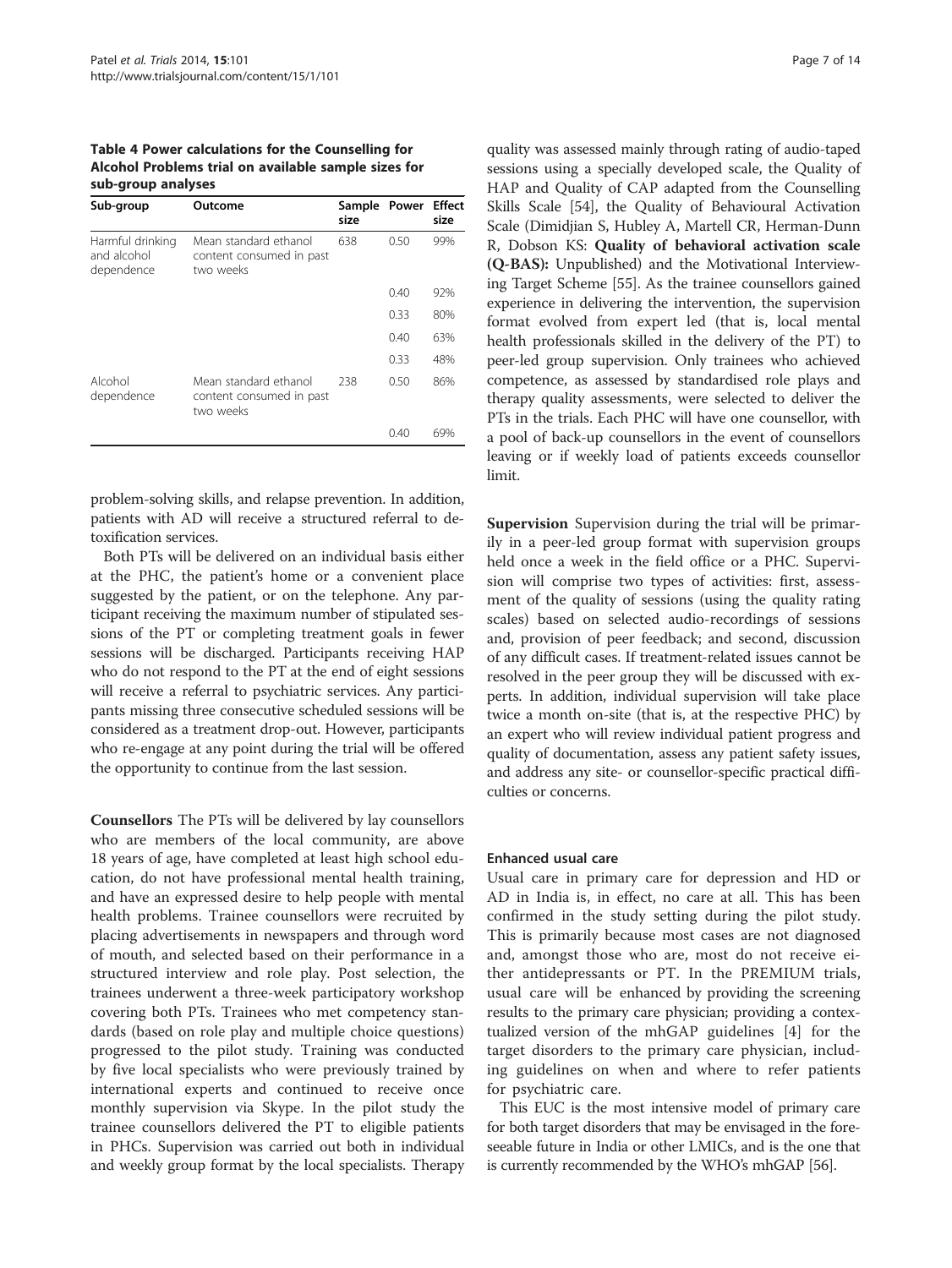<span id="page-6-0"></span>Table 4 Power calculations for the Counselling for Alcohol Problems trial on available sample sizes for sub-group analyses

| Sub-group                                     | Outcome                                                        | Sample<br>size | Power | <b>Effect</b><br>size |
|-----------------------------------------------|----------------------------------------------------------------|----------------|-------|-----------------------|
| Harmful drinking<br>and alcohol<br>dependence | Mean standard ethanol<br>content consumed in past<br>two weeks | 638            | 0.50  | 99%                   |
|                                               |                                                                |                | 0.40  | 92%                   |
|                                               |                                                                |                | 0.33  | 80%                   |
|                                               |                                                                |                | 0.40  | 63%                   |
|                                               |                                                                |                | 0.33  | 48%                   |
| Alcohol<br>dependence                         | Mean standard ethanol<br>content consumed in past<br>two weeks | 238            | 0.50  | 86%                   |
|                                               |                                                                |                | 0.40  | 69%                   |

problem-solving skills, and relapse prevention. In addition, patients with AD will receive a structured referral to detoxification services.

Both PTs will be delivered on an individual basis either at the PHC, the patient's home or a convenient place suggested by the patient, or on the telephone. Any participant receiving the maximum number of stipulated sessions of the PT or completing treatment goals in fewer sessions will be discharged. Participants receiving HAP who do not respond to the PT at the end of eight sessions will receive a referral to psychiatric services. Any participants missing three consecutive scheduled sessions will be considered as a treatment drop-out. However, participants who re-engage at any point during the trial will be offered the opportunity to continue from the last session.

Counsellors The PTs will be delivered by lay counsellors who are members of the local community, are above 18 years of age, have completed at least high school education, do not have professional mental health training, and have an expressed desire to help people with mental health problems. Trainee counsellors were recruited by placing advertisements in newspapers and through word of mouth, and selected based on their performance in a structured interview and role play. Post selection, the trainees underwent a three-week participatory workshop covering both PTs. Trainees who met competency standards (based on role play and multiple choice questions) progressed to the pilot study. Training was conducted by five local specialists who were previously trained by international experts and continued to receive once monthly supervision via Skype. In the pilot study the trainee counsellors delivered the PT to eligible patients in PHCs. Supervision was carried out both in individual and weekly group format by the local specialists. Therapy

quality was assessed mainly through rating of audio-taped sessions using a specially developed scale, the Quality of HAP and Quality of CAP adapted from the Counselling Skills Scale [\[54](#page-13-0)], the Quality of Behavioural Activation Scale (Dimidjian S, Hubley A, Martell CR, Herman-Dunn R, Dobson KS: Quality of behavioral activation scale (Q-BAS): Unpublished) and the Motivational Interviewing Target Scheme [\[55\]](#page-13-0). As the trainee counsellors gained experience in delivering the intervention, the supervision format evolved from expert led (that is, local mental health professionals skilled in the delivery of the PT) to peer-led group supervision. Only trainees who achieved competence, as assessed by standardised role plays and therapy quality assessments, were selected to deliver the PTs in the trials. Each PHC will have one counsellor, with a pool of back-up counsellors in the event of counsellors leaving or if weekly load of patients exceeds counsellor limit.

Supervision Supervision during the trial will be primarily in a peer-led group format with supervision groups held once a week in the field office or a PHC. Supervision will comprise two types of activities: first, assessment of the quality of sessions (using the quality rating scales) based on selected audio-recordings of sessions and, provision of peer feedback; and second, discussion of any difficult cases. If treatment-related issues cannot be resolved in the peer group they will be discussed with experts. In addition, individual supervision will take place twice a month on-site (that is, at the respective PHC) by an expert who will review individual patient progress and quality of documentation, assess any patient safety issues, and address any site- or counsellor-specific practical difficulties or concerns.

## Enhanced usual care

Usual care in primary care for depression and HD or AD in India is, in effect, no care at all. This has been confirmed in the study setting during the pilot study. This is primarily because most cases are not diagnosed and, amongst those who are, most do not receive either antidepressants or PT. In the PREMIUM trials, usual care will be enhanced by providing the screening results to the primary care physician; providing a contextualized version of the mhGAP guidelines [[4\]](#page-11-0) for the target disorders to the primary care physician, including guidelines on when and where to refer patients for psychiatric care.

This EUC is the most intensive model of primary care for both target disorders that may be envisaged in the foreseeable future in India or other LMICs, and is the one that is currently recommended by the WHO's mhGAP [\[56\]](#page-13-0).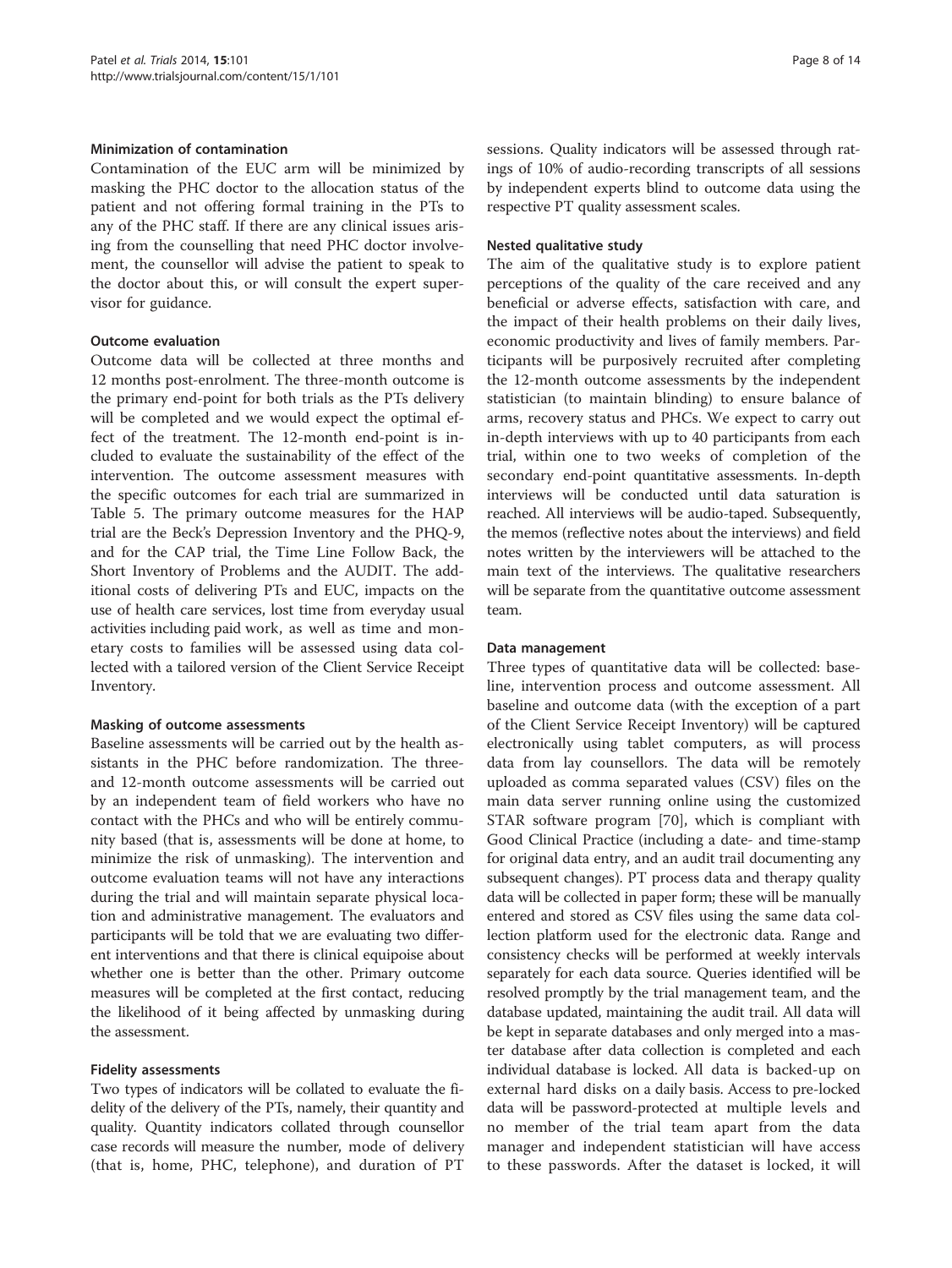## Minimization of contamination

Contamination of the EUC arm will be minimized by masking the PHC doctor to the allocation status of the patient and not offering formal training in the PTs to any of the PHC staff. If there are any clinical issues arising from the counselling that need PHC doctor involvement, the counsellor will advise the patient to speak to the doctor about this, or will consult the expert supervisor for guidance.

## Outcome evaluation

Outcome data will be collected at three months and 12 months post-enrolment. The three-month outcome is the primary end-point for both trials as the PTs delivery will be completed and we would expect the optimal effect of the treatment. The 12-month end-point is included to evaluate the sustainability of the effect of the intervention. The outcome assessment measures with the specific outcomes for each trial are summarized in Table [5](#page-8-0). The primary outcome measures for the HAP trial are the Beck's Depression Inventory and the PHQ-9, and for the CAP trial, the Time Line Follow Back, the Short Inventory of Problems and the AUDIT. The additional costs of delivering PTs and EUC, impacts on the use of health care services, lost time from everyday usual activities including paid work, as well as time and monetary costs to families will be assessed using data collected with a tailored version of the Client Service Receipt Inventory.

## Masking of outcome assessments

Baseline assessments will be carried out by the health assistants in the PHC before randomization. The threeand 12-month outcome assessments will be carried out by an independent team of field workers who have no contact with the PHCs and who will be entirely community based (that is, assessments will be done at home, to minimize the risk of unmasking). The intervention and outcome evaluation teams will not have any interactions during the trial and will maintain separate physical location and administrative management. The evaluators and participants will be told that we are evaluating two different interventions and that there is clinical equipoise about whether one is better than the other. Primary outcome measures will be completed at the first contact, reducing the likelihood of it being affected by unmasking during the assessment.

## Fidelity assessments

Two types of indicators will be collated to evaluate the fidelity of the delivery of the PTs, namely, their quantity and quality. Quantity indicators collated through counsellor case records will measure the number, mode of delivery (that is, home, PHC, telephone), and duration of PT sessions. Quality indicators will be assessed through ratings of 10% of audio-recording transcripts of all sessions by independent experts blind to outcome data using the respective PT quality assessment scales.

## Nested qualitative study

The aim of the qualitative study is to explore patient perceptions of the quality of the care received and any beneficial or adverse effects, satisfaction with care, and the impact of their health problems on their daily lives, economic productivity and lives of family members. Participants will be purposively recruited after completing the 12-month outcome assessments by the independent statistician (to maintain blinding) to ensure balance of arms, recovery status and PHCs. We expect to carry out in-depth interviews with up to 40 participants from each trial, within one to two weeks of completion of the secondary end-point quantitative assessments. In-depth interviews will be conducted until data saturation is reached. All interviews will be audio-taped. Subsequently, the memos (reflective notes about the interviews) and field notes written by the interviewers will be attached to the main text of the interviews. The qualitative researchers will be separate from the quantitative outcome assessment team.

## Data management

Three types of quantitative data will be collected: baseline, intervention process and outcome assessment. All baseline and outcome data (with the exception of a part of the Client Service Receipt Inventory) will be captured electronically using tablet computers, as will process data from lay counsellors. The data will be remotely uploaded as comma separated values (CSV) files on the main data server running online using the customized STAR software program [\[70\]](#page-13-0), which is compliant with Good Clinical Practice (including a date- and time-stamp for original data entry, and an audit trail documenting any subsequent changes). PT process data and therapy quality data will be collected in paper form; these will be manually entered and stored as CSV files using the same data collection platform used for the electronic data. Range and consistency checks will be performed at weekly intervals separately for each data source. Queries identified will be resolved promptly by the trial management team, and the database updated, maintaining the audit trail. All data will be kept in separate databases and only merged into a master database after data collection is completed and each individual database is locked. All data is backed-up on external hard disks on a daily basis. Access to pre-locked data will be password-protected at multiple levels and no member of the trial team apart from the data manager and independent statistician will have access to these passwords. After the dataset is locked, it will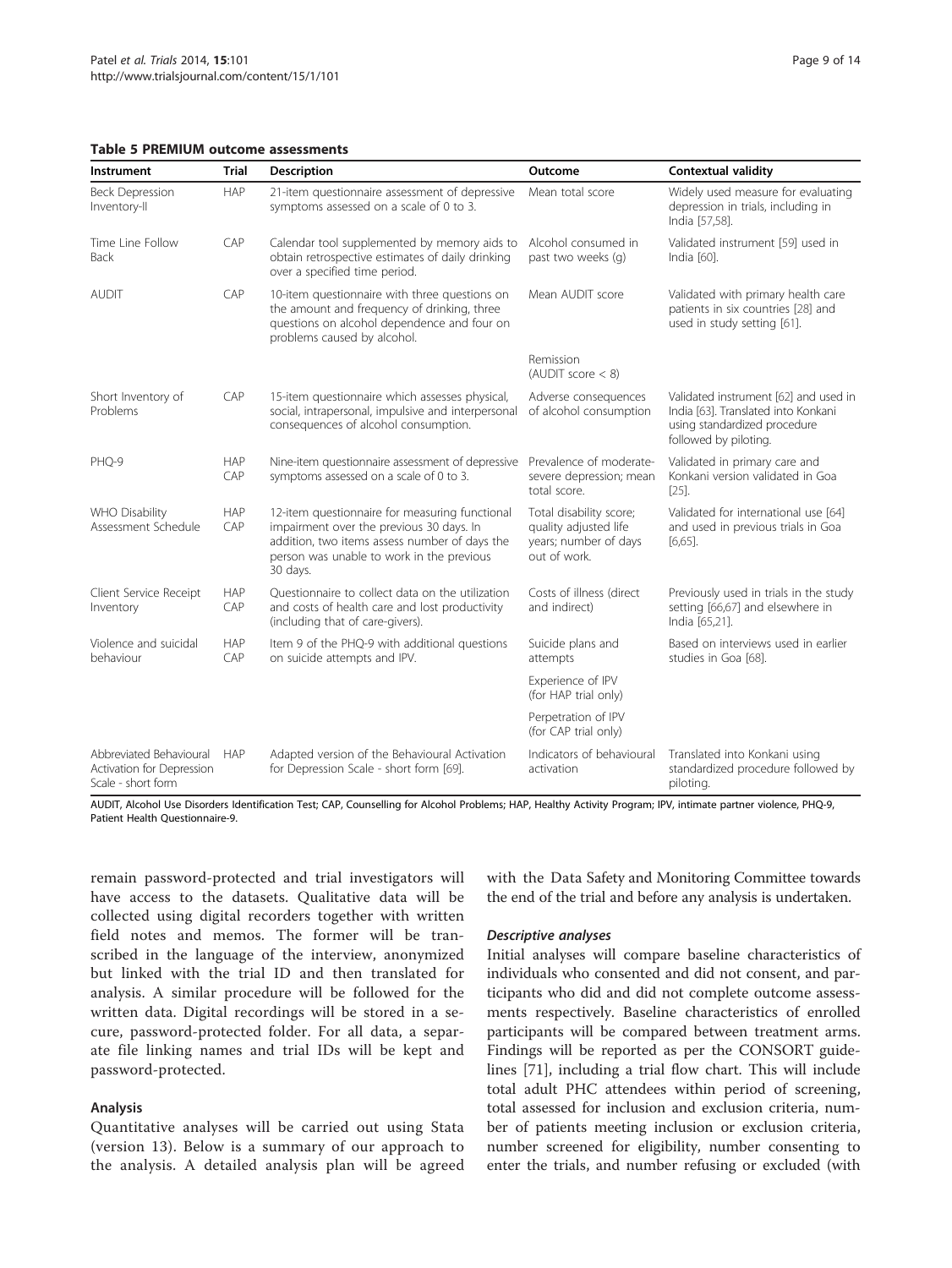#### <span id="page-8-0"></span>Table 5 PREMIUM outcome assessments

| Instrument                                                                 | <b>Trial</b>      | <b>Description</b>                                                                                                                                                                                   | Outcome                                                                                   | <b>Contextual validity</b>                                                                                                            |
|----------------------------------------------------------------------------|-------------------|------------------------------------------------------------------------------------------------------------------------------------------------------------------------------------------------------|-------------------------------------------------------------------------------------------|---------------------------------------------------------------------------------------------------------------------------------------|
| <b>Beck Depression</b><br>Inventory-II                                     | <b>HAP</b>        | 21-item questionnaire assessment of depressive<br>symptoms assessed on a scale of 0 to 3.                                                                                                            | Mean total score                                                                          | Widely used measure for evaluating<br>depression in trials, including in<br>India [57,58].                                            |
| Time Line Follow<br>Back                                                   | CAP               | Calendar tool supplemented by memory aids to<br>obtain retrospective estimates of daily drinking<br>over a specified time period.                                                                    | Alcohol consumed in<br>past two weeks (q)                                                 | Validated instrument [59] used in<br>India [60].                                                                                      |
| <b>AUDIT</b>                                                               | CAP               | 10-item questionnaire with three questions on<br>the amount and frequency of drinking, three<br>questions on alcohol dependence and four on<br>problems caused by alcohol.                           | Mean AUDIT score                                                                          | Validated with primary health care<br>patients in six countries [28] and<br>used in study setting [61].                               |
|                                                                            |                   |                                                                                                                                                                                                      | Remission<br>(AUDIT score < 8)                                                            |                                                                                                                                       |
| Short Inventory of<br>Problems                                             | CAP               | 15-item questionnaire which assesses physical,<br>social, intrapersonal, impulsive and interpersonal<br>consequences of alcohol consumption.                                                         | Adverse consequences<br>of alcohol consumption                                            | Validated instrument [62] and used in<br>India [63]. Translated into Konkani<br>using standardized procedure<br>followed by piloting. |
| PHO-9                                                                      | <b>HAP</b><br>CAP | Nine-item questionnaire assessment of depressive<br>symptoms assessed on a scale of 0 to 3.                                                                                                          | Prevalence of moderate-<br>severe depression; mean<br>total score.                        | Validated in primary care and<br>Konkani version validated in Goa<br>$[25]$ .                                                         |
| WHO Disability<br>Assessment Schedule                                      | <b>HAP</b><br>CAP | 12-item questionnaire for measuring functional<br>impairment over the previous 30 days. In<br>addition, two items assess number of days the<br>person was unable to work in the previous<br>30 days. | Total disability score;<br>quality adjusted life<br>years; number of days<br>out of work. | Validated for international use [64]<br>and used in previous trials in Goa<br>$[6,65]$ .                                              |
| Client Service Receipt<br>Inventory                                        | <b>HAP</b><br>CAP | Questionnaire to collect data on the utilization<br>and costs of health care and lost productivity<br>(including that of care-givers).                                                               | Costs of illness (direct<br>and indirect)                                                 | Previously used in trials in the study<br>setting [66,67] and elsewhere in<br>India [65,21].                                          |
| Violence and suicidal<br>behaviour                                         | <b>HAP</b><br>CAP | Item 9 of the PHQ-9 with additional questions<br>on suicide attempts and IPV.                                                                                                                        | Suicide plans and<br>attempts                                                             | Based on interviews used in earlier<br>studies in Goa [68].                                                                           |
|                                                                            |                   |                                                                                                                                                                                                      | Experience of IPV<br>(for HAP trial only)                                                 |                                                                                                                                       |
|                                                                            |                   |                                                                                                                                                                                                      | Perpetration of IPV<br>(for CAP trial only)                                               |                                                                                                                                       |
| Abbreviated Behavioural<br>Activation for Depression<br>Scale - short form | <b>HAP</b>        | Adapted version of the Behavioural Activation<br>for Depression Scale - short form [69].                                                                                                             | Indicators of behavioural<br>activation                                                   | Translated into Konkani using<br>standardized procedure followed by<br>piloting.                                                      |

AUDIT, Alcohol Use Disorders Identification Test; CAP, Counselling for Alcohol Problems; HAP, Healthy Activity Program; IPV, intimate partner violence, PHQ-9, Patient Health Questionnaire-9.

remain password-protected and trial investigators will have access to the datasets. Qualitative data will be collected using digital recorders together with written field notes and memos. The former will be transcribed in the language of the interview, anonymized but linked with the trial ID and then translated for analysis. A similar procedure will be followed for the written data. Digital recordings will be stored in a secure, password-protected folder. For all data, a separate file linking names and trial IDs will be kept and password-protected.

## Analysis

Quantitative analyses will be carried out using Stata (version 13). Below is a summary of our approach to the analysis. A detailed analysis plan will be agreed with the Data Safety and Monitoring Committee towards the end of the trial and before any analysis is undertaken.

## Descriptive analyses

Initial analyses will compare baseline characteristics of individuals who consented and did not consent, and participants who did and did not complete outcome assessments respectively. Baseline characteristics of enrolled participants will be compared between treatment arms. Findings will be reported as per the CONSORT guidelines [[71](#page-13-0)], including a trial flow chart. This will include total adult PHC attendees within period of screening, total assessed for inclusion and exclusion criteria, number of patients meeting inclusion or exclusion criteria, number screened for eligibility, number consenting to enter the trials, and number refusing or excluded (with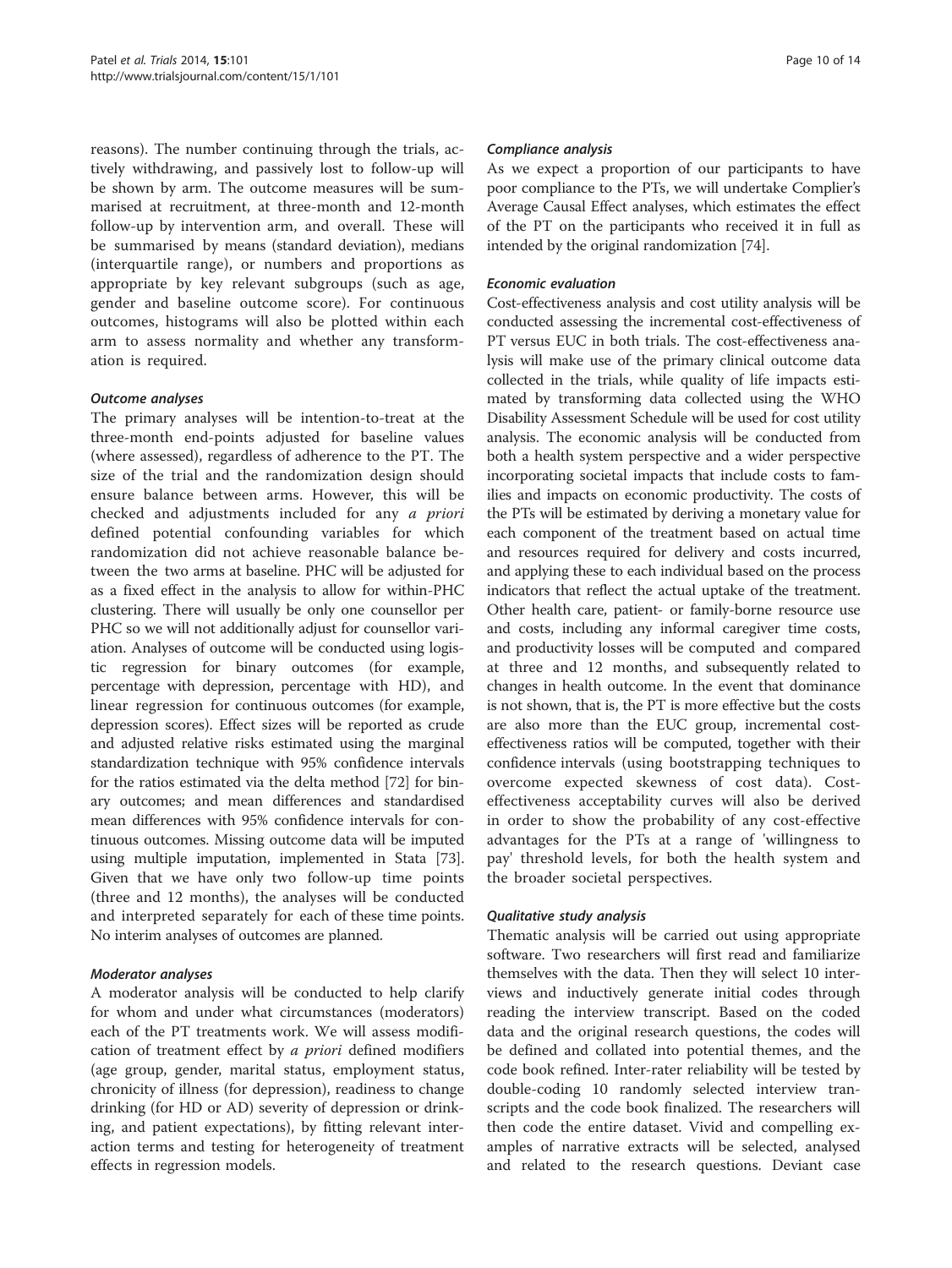reasons). The number continuing through the trials, actively withdrawing, and passively lost to follow-up will be shown by arm. The outcome measures will be summarised at recruitment, at three-month and 12-month follow-up by intervention arm, and overall. These will be summarised by means (standard deviation), medians (interquartile range), or numbers and proportions as appropriate by key relevant subgroups (such as age, gender and baseline outcome score). For continuous outcomes, histograms will also be plotted within each arm to assess normality and whether any transformation is required.

## Outcome analyses

The primary analyses will be intention-to-treat at the three-month end-points adjusted for baseline values (where assessed), regardless of adherence to the PT. The size of the trial and the randomization design should ensure balance between arms. However, this will be checked and adjustments included for any a priori defined potential confounding variables for which randomization did not achieve reasonable balance between the two arms at baseline. PHC will be adjusted for as a fixed effect in the analysis to allow for within-PHC clustering. There will usually be only one counsellor per PHC so we will not additionally adjust for counsellor variation. Analyses of outcome will be conducted using logistic regression for binary outcomes (for example, percentage with depression, percentage with HD), and linear regression for continuous outcomes (for example, depression scores). Effect sizes will be reported as crude and adjusted relative risks estimated using the marginal standardization technique with 95% confidence intervals for the ratios estimated via the delta method [[72](#page-13-0)] for binary outcomes; and mean differences and standardised mean differences with 95% confidence intervals for continuous outcomes. Missing outcome data will be imputed using multiple imputation, implemented in Stata [[73](#page-13-0)]. Given that we have only two follow-up time points (three and 12 months), the analyses will be conducted and interpreted separately for each of these time points. No interim analyses of outcomes are planned.

## Moderator analyses

A moderator analysis will be conducted to help clarify for whom and under what circumstances (moderators) each of the PT treatments work. We will assess modification of treatment effect by a priori defined modifiers (age group, gender, marital status, employment status, chronicity of illness (for depression), readiness to change drinking (for HD or AD) severity of depression or drinking, and patient expectations), by fitting relevant interaction terms and testing for heterogeneity of treatment effects in regression models.

## Compliance analysis

As we expect a proportion of our participants to have poor compliance to the PTs, we will undertake Complier's Average Causal Effect analyses, which estimates the effect of the PT on the participants who received it in full as intended by the original randomization [[74](#page-13-0)].

## Economic evaluation

Cost-effectiveness analysis and cost utility analysis will be conducted assessing the incremental cost-effectiveness of PT versus EUC in both trials. The cost-effectiveness analysis will make use of the primary clinical outcome data collected in the trials, while quality of life impacts estimated by transforming data collected using the WHO Disability Assessment Schedule will be used for cost utility analysis. The economic analysis will be conducted from both a health system perspective and a wider perspective incorporating societal impacts that include costs to families and impacts on economic productivity. The costs of the PTs will be estimated by deriving a monetary value for each component of the treatment based on actual time and resources required for delivery and costs incurred, and applying these to each individual based on the process indicators that reflect the actual uptake of the treatment. Other health care, patient- or family-borne resource use and costs, including any informal caregiver time costs, and productivity losses will be computed and compared at three and 12 months, and subsequently related to changes in health outcome. In the event that dominance is not shown, that is, the PT is more effective but the costs are also more than the EUC group, incremental costeffectiveness ratios will be computed, together with their confidence intervals (using bootstrapping techniques to overcome expected skewness of cost data). Costeffectiveness acceptability curves will also be derived in order to show the probability of any cost-effective advantages for the PTs at a range of 'willingness to pay' threshold levels, for both the health system and the broader societal perspectives.

## Qualitative study analysis

Thematic analysis will be carried out using appropriate software. Two researchers will first read and familiarize themselves with the data. Then they will select 10 interviews and inductively generate initial codes through reading the interview transcript. Based on the coded data and the original research questions, the codes will be defined and collated into potential themes, and the code book refined. Inter-rater reliability will be tested by double-coding 10 randomly selected interview transcripts and the code book finalized. The researchers will then code the entire dataset. Vivid and compelling examples of narrative extracts will be selected, analysed and related to the research questions. Deviant case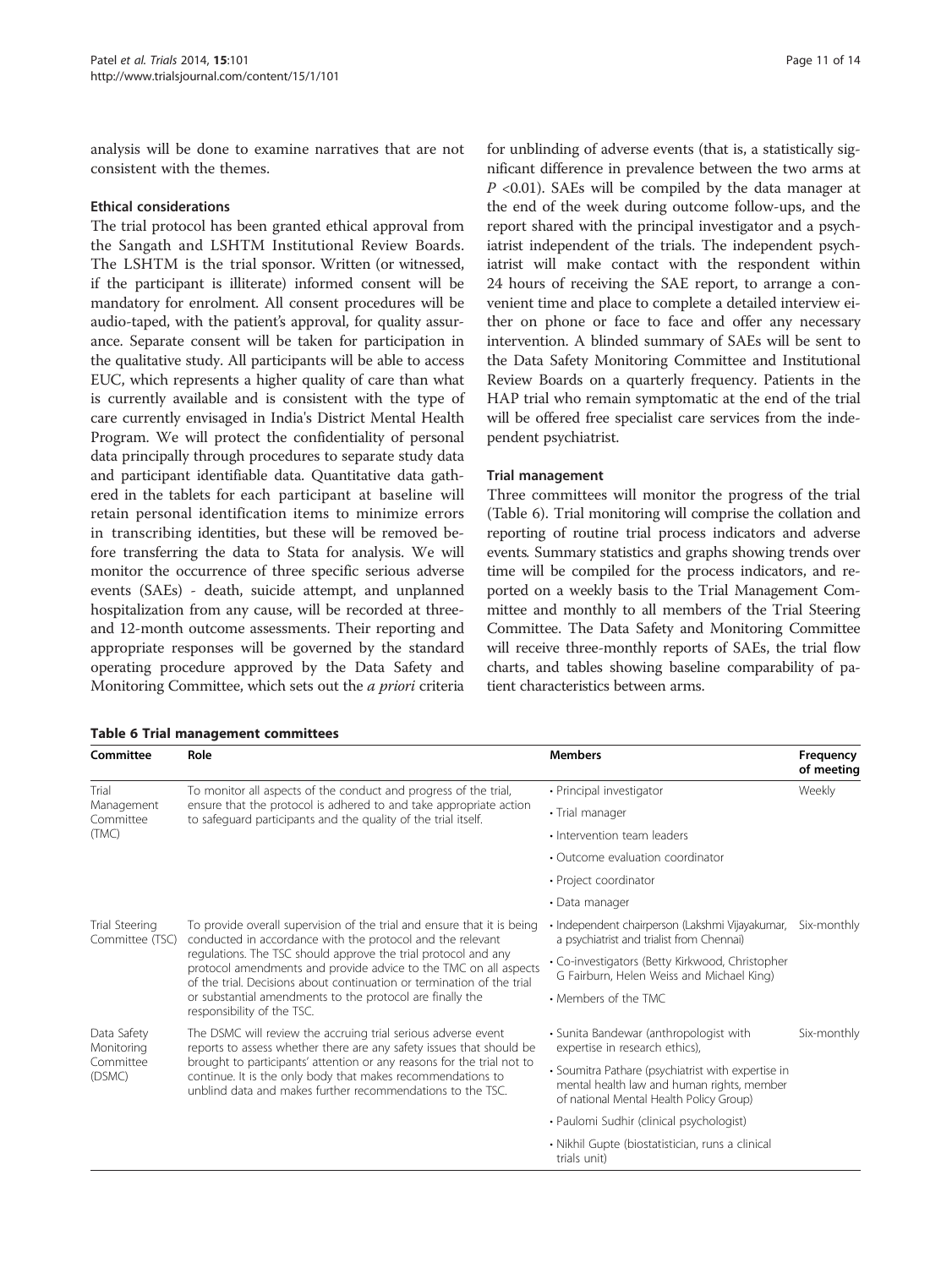analysis will be done to examine narratives that are not consistent with the themes.

## Ethical considerations

The trial protocol has been granted ethical approval from the Sangath and LSHTM Institutional Review Boards. The LSHTM is the trial sponsor. Written (or witnessed, if the participant is illiterate) informed consent will be mandatory for enrolment. All consent procedures will be audio-taped, with the patient's approval, for quality assurance. Separate consent will be taken for participation in the qualitative study. All participants will be able to access EUC, which represents a higher quality of care than what is currently available and is consistent with the type of care currently envisaged in India's District Mental Health Program. We will protect the confidentiality of personal data principally through procedures to separate study data and participant identifiable data. Quantitative data gathered in the tablets for each participant at baseline will retain personal identification items to minimize errors in transcribing identities, but these will be removed before transferring the data to Stata for analysis. We will monitor the occurrence of three specific serious adverse events (SAEs) - death, suicide attempt, and unplanned hospitalization from any cause, will be recorded at threeand 12-month outcome assessments. Their reporting and appropriate responses will be governed by the standard operating procedure approved by the Data Safety and Monitoring Committee, which sets out the a priori criteria

| Committee                                | Role                                                                                                                                                                                                                                                                                                                                                  | <b>Members</b>                                                                                                                              | Frequency<br>of meeting |  |  |
|------------------------------------------|-------------------------------------------------------------------------------------------------------------------------------------------------------------------------------------------------------------------------------------------------------------------------------------------------------------------------------------------------------|---------------------------------------------------------------------------------------------------------------------------------------------|-------------------------|--|--|
| Trial                                    | To monitor all aspects of the conduct and progress of the trial,                                                                                                                                                                                                                                                                                      | • Principal investigator                                                                                                                    | Weekly                  |  |  |
| Management<br>Committee                  | ensure that the protocol is adhered to and take appropriate action<br>to safeguard participants and the quality of the trial itself.                                                                                                                                                                                                                  | • Trial manager                                                                                                                             |                         |  |  |
| (TMC)                                    |                                                                                                                                                                                                                                                                                                                                                       | • Intervention team leaders                                                                                                                 |                         |  |  |
|                                          |                                                                                                                                                                                                                                                                                                                                                       | • Outcome evaluation coordinator                                                                                                            |                         |  |  |
|                                          |                                                                                                                                                                                                                                                                                                                                                       | • Project coordinator                                                                                                                       |                         |  |  |
|                                          |                                                                                                                                                                                                                                                                                                                                                       | • Data manager                                                                                                                              |                         |  |  |
| <b>Trial Steering</b><br>Committee (TSC) | To provide overall supervision of the trial and ensure that it is being<br>conducted in accordance with the protocol and the relevant<br>regulations. The TSC should approve the trial protocol and any<br>protocol amendments and provide advice to the TMC on all aspects<br>of the trial. Decisions about continuation or termination of the trial | · Independent chairperson (Lakshmi Vijayakumar,<br>a psychiatrist and trialist from Chennai)                                                | Six-monthly             |  |  |
|                                          |                                                                                                                                                                                                                                                                                                                                                       | • Co-investigators (Betty Kirkwood, Christopher<br>G Fairburn, Helen Weiss and Michael King)                                                |                         |  |  |
|                                          | or substantial amendments to the protocol are finally the<br>responsibility of the TSC.                                                                                                                                                                                                                                                               | • Members of the TMC                                                                                                                        |                         |  |  |
| Data Safety<br>Monitoring                | The DSMC will review the accruing trial serious adverse event<br>• Sunita Bandewar (anthropologist with<br>reports to assess whether there are any safety issues that should be<br>expertise in research ethics),                                                                                                                                     |                                                                                                                                             | Six-monthly             |  |  |
| Committee<br>(DSMC)                      | brought to participants' attention or any reasons for the trial not to<br>continue. It is the only body that makes recommendations to<br>unblind data and makes further recommendations to the TSC.                                                                                                                                                   | · Soumitra Pathare (psychiatrist with expertise in<br>mental health law and human rights, member<br>of national Mental Health Policy Group) |                         |  |  |
|                                          |                                                                                                                                                                                                                                                                                                                                                       | · Paulomi Sudhir (clinical psychologist)                                                                                                    |                         |  |  |
|                                          |                                                                                                                                                                                                                                                                                                                                                       | • Nikhil Gupte (biostatistician, runs a clinical<br>trials unit)                                                                            |                         |  |  |

## Table 6 Trial management committees

for unblinding of adverse events (that is, a statistically significant difference in prevalence between the two arms at  $P \le 0.01$ ). SAEs will be compiled by the data manager at the end of the week during outcome follow-ups, and the report shared with the principal investigator and a psychiatrist independent of the trials. The independent psychiatrist will make contact with the respondent within 24 hours of receiving the SAE report, to arrange a convenient time and place to complete a detailed interview either on phone or face to face and offer any necessary intervention. A blinded summary of SAEs will be sent to the Data Safety Monitoring Committee and Institutional Review Boards on a quarterly frequency. Patients in the HAP trial who remain symptomatic at the end of the trial will be offered free specialist care services from the independent psychiatrist.

## Trial management

Three committees will monitor the progress of the trial (Table 6). Trial monitoring will comprise the collation and reporting of routine trial process indicators and adverse events. Summary statistics and graphs showing trends over time will be compiled for the process indicators, and reported on a weekly basis to the Trial Management Committee and monthly to all members of the Trial Steering Committee. The Data Safety and Monitoring Committee will receive three-monthly reports of SAEs, the trial flow charts, and tables showing baseline comparability of patient characteristics between arms.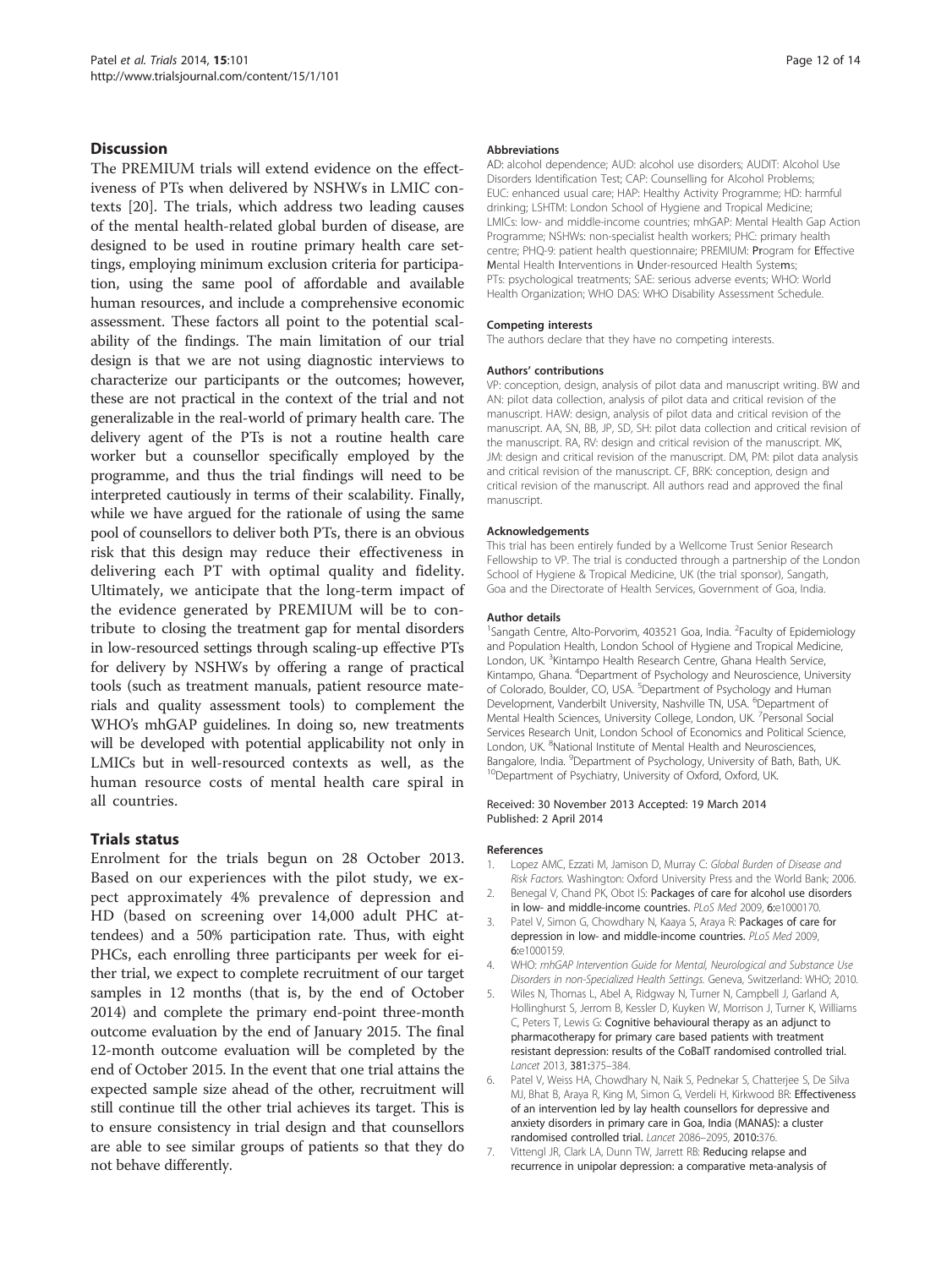## <span id="page-11-0"></span>**Discussion**

The PREMIUM trials will extend evidence on the effectiveness of PTs when delivered by NSHWs in LMIC contexts [\[20](#page-12-0)]. The trials, which address two leading causes of the mental health-related global burden of disease, are designed to be used in routine primary health care settings, employing minimum exclusion criteria for participation, using the same pool of affordable and available human resources, and include a comprehensive economic assessment. These factors all point to the potential scalability of the findings. The main limitation of our trial design is that we are not using diagnostic interviews to characterize our participants or the outcomes; however, these are not practical in the context of the trial and not generalizable in the real-world of primary health care. The delivery agent of the PTs is not a routine health care worker but a counsellor specifically employed by the programme, and thus the trial findings will need to be interpreted cautiously in terms of their scalability. Finally, while we have argued for the rationale of using the same pool of counsellors to deliver both PTs, there is an obvious risk that this design may reduce their effectiveness in delivering each PT with optimal quality and fidelity. Ultimately, we anticipate that the long-term impact of the evidence generated by PREMIUM will be to contribute to closing the treatment gap for mental disorders in low-resourced settings through scaling-up effective PTs for delivery by NSHWs by offering a range of practical tools (such as treatment manuals, patient resource materials and quality assessment tools) to complement the WHO's mhGAP guidelines. In doing so, new treatments will be developed with potential applicability not only in LMICs but in well-resourced contexts as well, as the human resource costs of mental health care spiral in all countries.

## Trials status

Enrolment for the trials begun on 28 October 2013. Based on our experiences with the pilot study, we expect approximately 4% prevalence of depression and HD (based on screening over 14,000 adult PHC attendees) and a 50% participation rate. Thus, with eight PHCs, each enrolling three participants per week for either trial, we expect to complete recruitment of our target samples in 12 months (that is, by the end of October 2014) and complete the primary end-point three-month outcome evaluation by the end of January 2015. The final 12-month outcome evaluation will be completed by the end of October 2015. In the event that one trial attains the expected sample size ahead of the other, recruitment will still continue till the other trial achieves its target. This is to ensure consistency in trial design and that counsellors are able to see similar groups of patients so that they do not behave differently.

#### **Abbreviations**

AD: alcohol dependence; AUD: alcohol use disorders; AUDIT: Alcohol Use Disorders Identification Test; CAP: Counselling for Alcohol Problems; EUC: enhanced usual care; HAP: Healthy Activity Programme; HD: harmful drinking; LSHTM: London School of Hygiene and Tropical Medicine; LMICs: low- and middle-income countries; mhGAP: Mental Health Gap Action Programme; NSHWs: non-specialist health workers; PHC: primary health centre; PHQ-9: patient health questionnaire; PREMIUM: Program for Effective Mental Health Interventions in Under-resourced Health Systems; PTs: psychological treatments; SAE: serious adverse events; WHO: World Health Organization; WHO DAS: WHO Disability Assessment Schedule.

#### Competing interests

The authors declare that they have no competing interests.

#### Authors' contributions

VP: conception, design, analysis of pilot data and manuscript writing. BW and AN: pilot data collection, analysis of pilot data and critical revision of the manuscript. HAW: design, analysis of pilot data and critical revision of the manuscript. AA, SN, BB, JP, SD, SH: pilot data collection and critical revision of the manuscript. RA, RV: design and critical revision of the manuscript. MK, JM: design and critical revision of the manuscript. DM, PM: pilot data analysis and critical revision of the manuscript. CF, BRK: conception, design and critical revision of the manuscript. All authors read and approved the final manuscript.

#### Acknowledgements

This trial has been entirely funded by a Wellcome Trust Senior Research Fellowship to VP. The trial is conducted through a partnership of the London School of Hygiene & Tropical Medicine, UK (the trial sponsor), Sangath, Goa and the Directorate of Health Services, Government of Goa, India.

#### Author details

<sup>1</sup>Sangath Centre, Alto-Porvorim, 403521 Goa, India. <sup>2</sup>Faculty of Epidemiology and Population Health, London School of Hygiene and Tropical Medicine, London, UK.<sup>3</sup> Kintampo Health Research Centre, Ghana Health Service, Kintampo, Ghana. <sup>4</sup>Department of Psychology and Neuroscience, University of Colorado, Boulder, CO, USA. <sup>5</sup>Department of Psychology and Human Development, Vanderbilt University, Nashville TN, USA. <sup>6</sup>Department of Mental Health Sciences, University College, London, UK. <sup>7</sup>Personal Social Services Research Unit, London School of Economics and Political Science, London, UK. <sup>8</sup>National Institute of Mental Health and Neurosciences, Bangalore, India. <sup>9</sup>Department of Psychology, University of Bath, Bath, UK. <sup>10</sup>Department of Psychiatry, University of Oxford, Oxford, UK.

#### Received: 30 November 2013 Accepted: 19 March 2014 Published: 2 April 2014

#### References

- 1. Lopez AMC, Ezzati M, Jamison D, Murray C: Global Burden of Disease and Risk Factors. Washington: Oxford University Press and the World Bank; 2006.
- 2. Benegal V, Chand PK, Obot IS: Packages of care for alcohol use disorders in low- and middle-income countries. PLoS Med 2009, 6:e1000170.
- 3. Patel V, Simon G, Chowdhary N, Kaaya S, Araya R: Packages of care for depression in low- and middle-income countries. PLoS Med 2009, 6:e1000159.
- 4. WHO: mhGAP Intervention Guide for Mental, Neurological and Substance Use Disorders in non-Specialized Health Settings. Geneva, Switzerland: WHO; 2010.
- 5. Wiles N, Thomas L, Abel A, Ridgway N, Turner N, Campbell J, Garland A, Hollinghurst S, Jerrom B, Kessler D, Kuyken W, Morrison J, Turner K, Williams C, Peters T, Lewis G: Cognitive behavioural therapy as an adjunct to pharmacotherapy for primary care based patients with treatment resistant depression: results of the CoBalT randomised controlled trial. Lancet 2013, 381:375–384.
- 6. Patel V, Weiss HA, Chowdhary N, Naik S, Pednekar S, Chatterjee S, De Silva MJ, Bhat B, Araya R, King M, Simon G, Verdeli H, Kirkwood BR: Effectiveness of an intervention led by lay health counsellors for depressive and anxiety disorders in primary care in Goa, India (MANAS): a cluster randomised controlled trial. Lancet 2086–2095, 2010:376.
- 7. Vittengl JR, Clark LA, Dunn TW, Jarrett RB: Reducing relapse and recurrence in unipolar depression: a comparative meta-analysis of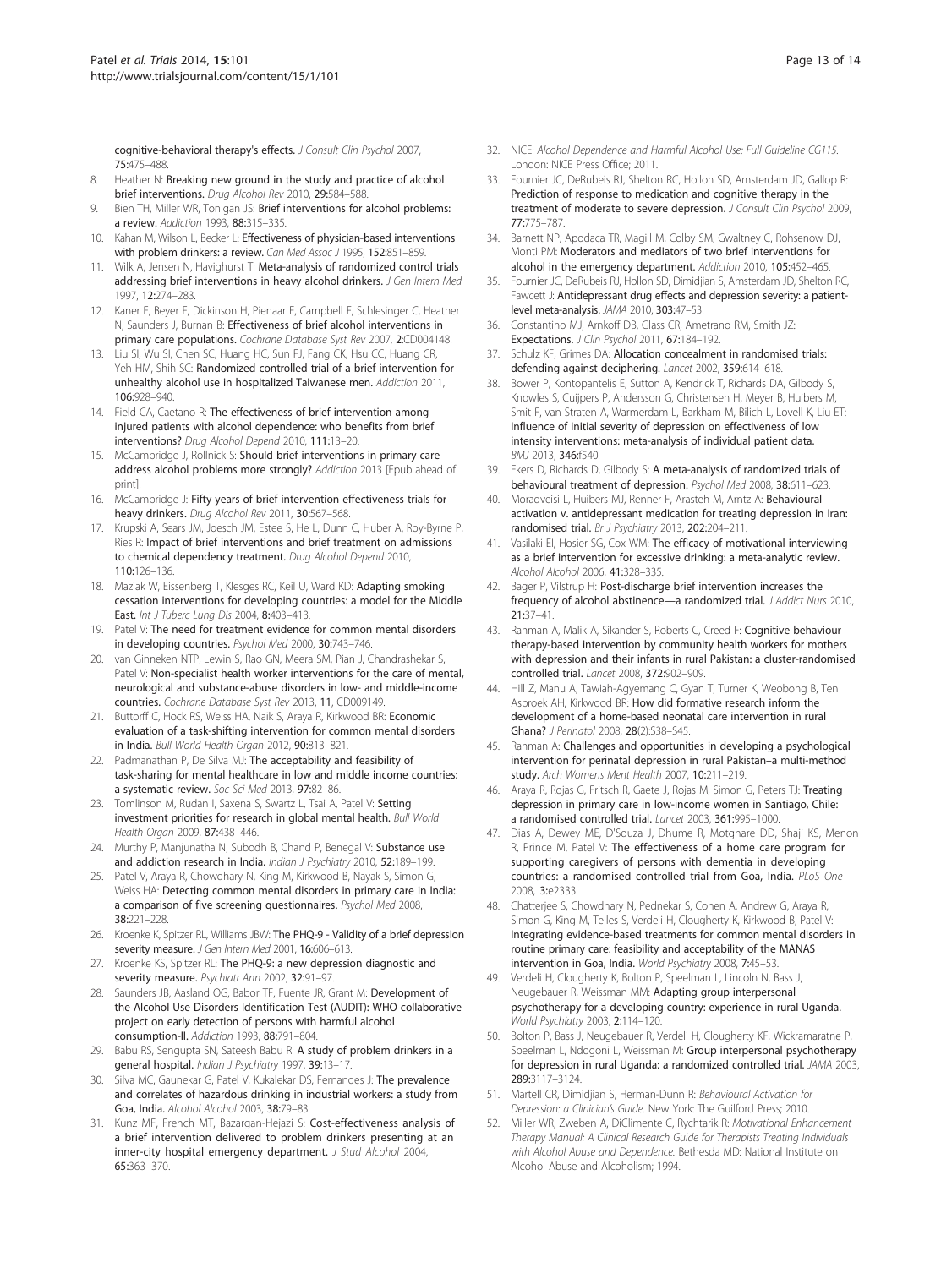<span id="page-12-0"></span>cognitive-behavioral therapy's effects. J Consult Clin Psychol 2007, 75:475–488.

- 8. Heather N: Breaking new ground in the study and practice of alcohol brief interventions. Drug Alcohol Rev 2010, 29:584–588.
- Bien TH, Miller WR, Tonigan JS: Brief interventions for alcohol problems: a review. Addiction 1993, 88:315–335.
- 10. Kahan M, Wilson L, Becker L: Effectiveness of physician-based interventions with problem drinkers: a review. Can Med Assoc J 1995, 152:851-859
- 11. Wilk A, Jensen N, Havighurst T: Meta-analysis of randomized control trials addressing brief interventions in heavy alcohol drinkers. J Gen Intern Med 1997, 12:274–283.
- 12. Kaner E, Beyer F, Dickinson H, Pienaar E, Campbell F, Schlesinger C, Heather N, Saunders J, Burnan B: Effectiveness of brief alcohol interventions in primary care populations. Cochrane Database Syst Rev 2007, 2:CD004148.
- 13. Liu SI, Wu SI, Chen SC, Huang HC, Sun FJ, Fang CK, Hsu CC, Huang CR, Yeh HM, Shih SC: Randomized controlled trial of a brief intervention for unhealthy alcohol use in hospitalized Taiwanese men. Addiction 2011, 106:928–940.
- 14. Field CA, Caetano R: The effectiveness of brief intervention among injured patients with alcohol dependence: who benefits from brief interventions? Drug Alcohol Depend 2010, 111:13–20.
- McCambridge J, Rollnick S: Should brief interventions in primary care address alcohol problems more strongly? Addiction 2013 [Epub ahead of print].
- 16. McCambridge J: Fifty years of brief intervention effectiveness trials for heavy drinkers. Drug Alcohol Rev 2011, 30:567-568.
- 17. Krupski A, Sears JM, Joesch JM, Estee S, He L, Dunn C, Huber A, Roy-Byrne P, Ries R: Impact of brief interventions and brief treatment on admissions to chemical dependency treatment. Drug Alcohol Depend 2010, 110:126–136.
- 18. Maziak W, Eissenberg T, Klesges RC, Keil U, Ward KD: Adapting smoking cessation interventions for developing countries: a model for the Middle East. Int J Tuberc Lung Dis 2004, 8:403–413.
- 19. Patel V: The need for treatment evidence for common mental disorders in developing countries. Psychol Med 2000, 30:743–746.
- 20. van Ginneken NTP, Lewin S, Rao GN, Meera SM, Pian J, Chandrashekar S, Patel V: Non-specialist health worker interventions for the care of mental, neurological and substance-abuse disorders in low- and middle-income countries. Cochrane Database Syst Rev 2013, 11, CD009149.
- 21. Buttorff C, Hock RS, Weiss HA, Naik S, Araya R, Kirkwood BR: Economic evaluation of a task-shifting intervention for common mental disorders in India. Bull World Health Organ 2012, 90:813–821.
- 22. Padmanathan P, De Silva MJ: The acceptability and feasibility of task-sharing for mental healthcare in low and middle income countries: a systematic review. Soc Sci Med 2013, 97:82–86.
- 23. Tomlinson M, Rudan I, Saxena S, Swartz L, Tsai A, Patel V: Setting investment priorities for research in global mental health. Bull World Health Organ 2009, 87:438–446.
- 24. Murthy P, Manjunatha N, Subodh B, Chand P, Benegal V: Substance use and addiction research in India. Indian J Psychiatry 2010, 52:189-199.
- 25. Patel V, Araya R, Chowdhary N, King M, Kirkwood B, Nayak S, Simon G, Weiss HA: Detecting common mental disorders in primary care in India: a comparison of five screening questionnaires. Psychol Med 2008, 38:221–228.
- 26. Kroenke K, Spitzer RL, Williams JBW: The PHQ-9 Validity of a brief depression severity measure. J Gen Intern Med 2001, 16:606-613.
- 27. Kroenke KS, Spitzer RL: The PHQ-9: a new depression diagnostic and severity measure. Psychiatr Ann 2002, 32:91-97.
- 28. Saunders JB, Aasland OG, Babor TF, Fuente JR, Grant M: Development of the Alcohol Use Disorders Identification Test (AUDIT): WHO collaborative project on early detection of persons with harmful alcohol consumption-II. Addiction 1993, 88:791–804.
- 29. Babu RS, Sengupta SN, Sateesh Babu R: A study of problem drinkers in a general hospital. Indian J Psychiatry 1997, 39:13–17.
- 30. Silva MC, Gaunekar G, Patel V, Kukalekar DS, Fernandes J: The prevalence and correlates of hazardous drinking in industrial workers: a study from Goa, India. Alcohol Alcohol 2003, 38:79–83.
- 31. Kunz MF, French MT, Bazargan-Hejazi S: Cost-effectiveness analysis of a brief intervention delivered to problem drinkers presenting at an inner-city hospital emergency department. J Stud Alcohol 2004, 65:363–370.
- 32. NICE: Alcohol Dependence and Harmful Alcohol Use: Full Guideline CG115. London: NICE Press Office; 2011.
- 33. Fournier JC, DeRubeis RJ, Shelton RC, Hollon SD, Amsterdam JD, Gallop R: Prediction of response to medication and cognitive therapy in the treatment of moderate to severe depression. J Consult Clin Psychol 2009, 77:775–787.
- 34. Barnett NP, Apodaca TR, Magill M, Colby SM, Gwaltney C, Rohsenow DJ, Monti PM: Moderators and mediators of two brief interventions for alcohol in the emergency department. Addiction 2010, 105:452–465.
- 35. Fournier JC, DeRubeis RJ, Hollon SD, Dimidjian S, Amsterdam JD, Shelton RC, Fawcett J: Antidepressant drug effects and depression severity: a patientlevel meta-analysis. JAMA 2010, 303:47–53.
- Constantino MJ, Arnkoff DB, Glass CR, Ametrano RM, Smith JZ: Expectations. J Clin Psychol 2011, 67:184–192.
- 37. Schulz KF, Grimes DA: Allocation concealment in randomised trials: defending against deciphering. Lancet 2002, 359:614–618.
- 38. Bower P, Kontopantelis E, Sutton A, Kendrick T, Richards DA, Gilbody S, Knowles S, Cuijpers P, Andersson G, Christensen H, Meyer B, Huibers M, Smit F, van Straten A, Warmerdam L, Barkham M, Bilich L, Lovell K, Liu ET: Influence of initial severity of depression on effectiveness of low intensity interventions: meta-analysis of individual patient data. BMJ 2013, 346:f540.
- 39. Ekers D, Richards D, Gilbody S: A meta-analysis of randomized trials of behavioural treatment of depression. Psychol Med 2008, 38:611–623.
- 40. Moradveisi L, Huibers MJ, Renner F, Arasteh M, Arntz A: Behavioural activation v. antidepressant medication for treating depression in Iran: randomised trial. Br J Psychiatry 2013, 202:204–211.
- 41. Vasilaki EI, Hosier SG, Cox WM: The efficacy of motivational interviewing as a brief intervention for excessive drinking: a meta-analytic review. Alcohol Alcohol 2006, 41:328–335.
- 42. Bager P, Vilstrup H: Post-discharge brief intervention increases the frequency of alcohol abstinence—a randomized trial. J Addict Nurs 2010, 21:37–41.
- 43. Rahman A, Malik A, Sikander S, Roberts C, Creed F: Cognitive behaviour therapy-based intervention by community health workers for mothers with depression and their infants in rural Pakistan: a cluster-randomised controlled trial. Lancet 2008, 372:902–909.
- 44. Hill Z, Manu A, Tawiah-Agyemang C, Gyan T, Turner K, Weobong B, Ten Asbroek AH, Kirkwood BR: How did formative research inform the development of a home-based neonatal care intervention in rural Ghana? *J Perinatol* 2008, 28(2):S38-S45.
- 45. Rahman A: Challenges and opportunities in developing a psychological intervention for perinatal depression in rural Pakistan–a multi-method study. Arch Womens Ment Health 2007, 10:211–219.
- Araya R, Rojas G, Fritsch R, Gaete J, Rojas M, Simon G, Peters TJ: Treating depression in primary care in low-income women in Santiago, Chile: a randomised controlled trial. Lancet 2003, 361:995–1000.
- 47. Dias A, Dewey ME, D'Souza J, Dhume R, Motghare DD, Shaji KS, Menon R, Prince M, Patel V: The effectiveness of a home care program for supporting caregivers of persons with dementia in developing countries: a randomised controlled trial from Goa, India. PLoS One 2008, 3:e2333.
- 48. Chatterjee S, Chowdhary N, Pednekar S, Cohen A, Andrew G, Araya R, Simon G, King M, Telles S, Verdeli H, Clougherty K, Kirkwood B, Patel V: Integrating evidence-based treatments for common mental disorders in routine primary care: feasibility and acceptability of the MANAS intervention in Goa, India. World Psychiatry 2008, 7:45–53.
- 49. Verdeli H, Clougherty K, Bolton P, Speelman L, Lincoln N, Bass J, Neugebauer R, Weissman MM: Adapting group interpersonal psychotherapy for a developing country: experience in rural Uganda. World Psychiatry 2003, 2:114–120.
- 50. Bolton P, Bass J, Neugebauer R, Verdeli H, Clougherty KF, Wickramaratne P, Speelman L, Ndogoni L, Weissman M: Group interpersonal psychotherapy for depression in rural Uganda: a randomized controlled trial. JAMA 2003, 289:3117–3124.
- 51. Martell CR, Dimidjian S, Herman-Dunn R: Behavioural Activation for Depression: a Clinician's Guide. New York: The Guilford Press; 2010.
- 52. Miller WR, Zweben A, DiClimente C, Rychtarik R: Motivational Enhancement Therapy Manual: A Clinical Research Guide for Therapists Treating Individuals with Alcohol Abuse and Dependence. Bethesda MD: National Institute on Alcohol Abuse and Alcoholism; 1994.